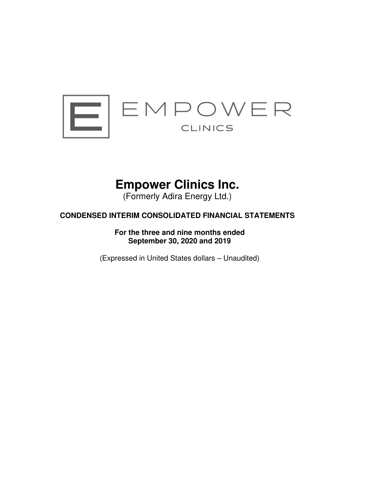

# **Empower Clinics Inc.**

(Formerly Adira Energy Ltd.)

## **CONDENSED INTERIM CONSOLIDATED FINANCIAL STATEMENTS**

**For the three and nine months ended September 30, 2020 and 2019** 

(Expressed in United States dollars – Unaudited)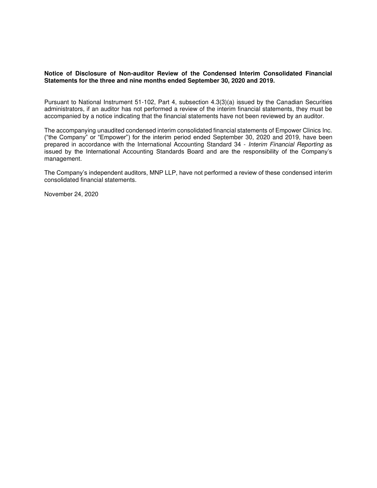## **Notice of Disclosure of Non-auditor Review of the Condensed Interim Consolidated Financial Statements for the three and nine months ended September 30, 2020 and 2019.**

Pursuant to National Instrument 51-102, Part 4, subsection 4.3(3)(a) issued by the Canadian Securities administrators, if an auditor has not performed a review of the interim financial statements, they must be accompanied by a notice indicating that the financial statements have not been reviewed by an auditor.

The accompanying unaudited condensed interim consolidated financial statements of Empower Clinics Inc. ("the Company" or "Empower") for the interim period ended September 30, 2020 and 2019, have been prepared in accordance with the International Accounting Standard 34 - Interim Financial Reporting as issued by the International Accounting Standards Board and are the responsibility of the Company's management.

The Company's independent auditors, MNP LLP, have not performed a review of these condensed interim consolidated financial statements.

November 24, 2020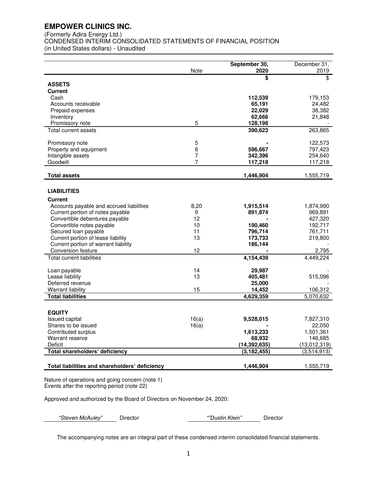(Formerly Adira Energy Ltd.)

CONDENSED INTERIM CONSOLIDATED STATEMENTS OF FINANCIAL POSITION

(in United States dollars) - Unaudited

|                                                            | Note   | September 30,<br>2020 | December 31,<br>2019 |
|------------------------------------------------------------|--------|-----------------------|----------------------|
|                                                            |        | \$                    | \$                   |
| <b>ASSETS</b>                                              |        |                       |                      |
| <b>Current</b><br>Cash                                     |        |                       |                      |
| Accounts receivable                                        |        | 112,539<br>65,191     | 179,153<br>24,482    |
| Prepaid expenses                                           |        | 22,029                | 38,382               |
| Inventory                                                  |        | 62,666                | 21,848               |
| Promissory note                                            | 5      | 128,198               |                      |
| Total current assets                                       |        | 390,623               | 263,865              |
|                                                            |        |                       |                      |
| Promissory note<br>Property and equipment                  | 5<br>6 |                       | 122,573<br>797,423   |
| Intangible assets                                          | 7      | 596,667<br>342,396    | 254,640              |
| Goodwill                                                   | 7      | 117,218               | 117,218              |
|                                                            |        |                       |                      |
| <b>Total assets</b>                                        |        | 1,446,904             | 1,555,719            |
|                                                            |        |                       |                      |
| <b>LIABILITIES</b>                                         |        |                       |                      |
| <b>Current</b>                                             |        |                       |                      |
| Accounts payable and accrued liabilities                   | 8,20   | 1,915,514             | 1,874,990            |
| Current portion of notes payable                           | 9      | 891,874               | 969,891              |
| Convertible debentures payable                             | 12     |                       | 427,320              |
| Convertible notes payable                                  | 10     | 190,460               | 192,717              |
| Secured loan payable                                       | 11     | 796,714               | 761,711              |
| Current portion of lease liability                         | 13     | 173,733               | 219,800              |
| Current portion of warrant liability<br>Conversion feature | 12     | 186,144               |                      |
| <b>Total current liabilities</b>                           |        |                       | 2.795<br>4,449,224   |
|                                                            |        | 4,154,439             |                      |
| Loan payable                                               | 14     | 29,987                |                      |
| Lease liability                                            | 13     | 405,481               | 515,096              |
| Deferred revenue                                           |        | 25,000                |                      |
| <b>Warrant liability</b>                                   | 15     | 14,452                | 106,312              |
| <b>Total liabilities</b>                                   |        | 4,629,359             | 5,070,632            |
|                                                            |        |                       |                      |
| <b>EQUITY</b>                                              |        |                       |                      |
| Issued capital                                             | 16(a)  | 9,528,015             | 7,827,310            |
| Shares to be issued                                        | 16(a)  |                       | 22,050               |
| Contributed surplus                                        |        | 1,613,233             | 1,501,361            |
| Warrant reserve                                            |        | 68,932                | 146,685              |
| Deficit                                                    |        | (14, 392, 635)        | (13,012,319)         |
| Total shareholders' deficiency                             |        | (3, 182, 455)         | (3,514,913)          |
| Total liabilities and shareholders' deficiency             |        | 1,446,904             | 1,555,719            |
|                                                            |        |                       |                      |

Nature of operations and going concern (note 1) Events after the reporting period (note 22)

Approved and authorized by the Board of Directors on November 24, 2020:

*"*Steven McAuley*"* Director *""Dustin Klein"* Director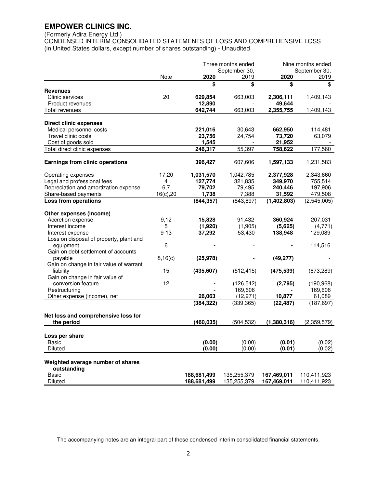## (Formerly Adira Energy Ltd.)

CONDENSED INTERIM CONSOLIDATED STATEMENTS OF LOSS AND COMPREHENSIVE LOSS (in United States dollars, except number of shares outstanding) - Unaudited

|                                         |           |                   | Three months ended |                     | Nine months ended |
|-----------------------------------------|-----------|-------------------|--------------------|---------------------|-------------------|
|                                         |           |                   | September 30,      |                     | September 30,     |
|                                         | Note      | 2020              | 2019               | 2020                | 2019              |
|                                         |           | \$                | \$                 | \$                  | \$                |
| Revenues                                |           |                   |                    |                     |                   |
| Clinic services<br>Product revenues     | 20        | 629,854<br>12,890 | 663,003            | 2,306,111<br>49,644 | 1,409,143         |
| Total revenues                          |           | 642,744           | 663,003            | 2,355,755           | 1,409,143         |
|                                         |           |                   |                    |                     |                   |
| <b>Direct clinic expenses</b>           |           |                   |                    |                     |                   |
| Medical personnel costs                 |           | 221,016           | 30,643             | 662,950             | 114,481           |
| Travel clinic costs                     |           | 23,756            | 24,754             | 73,720              | 63,079            |
| Cost of goods sold                      |           | 1,545             |                    | 21,952              |                   |
| Total direct clinic expenses            |           | 246,317           | 55,397             | 758,622             | 177,560           |
|                                         |           |                   |                    |                     |                   |
| <b>Earnings from clinic operations</b>  |           | 396,427           | 607,606            | 1,597,133           | 1,231,583         |
|                                         |           |                   |                    |                     |                   |
| Operating expenses                      | 17,20     | 1,031,570         | 1,042,785          | 2,377,928           | 2,343,660         |
| Legal and professional fees             | 4         | 127,774           | 321,835            | 349,970             | 755,514           |
| Depreciation and amortization expense   | 6,7       | 79,702            | 79,495             | 240,446             | 197,906           |
| Share-based payments                    | 16(c), 20 | 1,738             | 7,388              | 31,592              | 479,508           |
| <b>Loss from operations</b>             |           | (844, 357)        | (843, 897)         | (1,402,803)         | (2,545,005)       |
| Other expenses (income)                 |           |                   |                    |                     |                   |
| Accretion expense                       | 9,12      | 15,828            | 91,432             | 360,924             | 207,031           |
| Interest income                         | 5         | (1,920)           | (1,905)            | (5,625)             | (4,771)           |
| Interest expense                        | $9 - 13$  | 37,292            | 53,430             | 138,948             | 129,089           |
| Loss on disposal of property, plant and |           |                   |                    |                     |                   |
| equipment                               | 6         |                   |                    |                     | 114,516           |
| Gain on debt settlement of accounts     |           |                   |                    |                     |                   |
| payable                                 | 8,16(c)   | (25, 978)         |                    | (49, 277)           |                   |
| Gain on change in fair value of warrant |           |                   |                    |                     |                   |
| liability                               | 15        | (435, 607)        | (512, 415)         | (475, 539)          | (673, 289)        |
| Gain on change in fair value of         |           |                   |                    |                     |                   |
| conversion feature                      | 12        |                   | (126, 542)         | (2,795)             | (190, 968)        |
| Restructuring                           |           |                   | 169,606            |                     | 169,606           |
| Other expense (income), net             |           | 26,063            | (12, 971)          | 10,877              | 61,089            |
|                                         |           | (384, 322)        | (339, 365)         | (22, 487)           | (187, 697)        |
| Net loss and comprehensive loss for     |           |                   |                    |                     |                   |
| the period                              |           | (460, 035)        | (504, 532)         | (1,380,316)         | (2,359,579)       |
|                                         |           |                   |                    |                     |                   |
| Loss per share<br>Basic                 |           | (0.00)            | (0.00)             | (0.01)              | (0.02)            |
| Diluted                                 |           | (0.00)            | (0.00)             | (0.01)              | (0.02)            |
|                                         |           |                   |                    |                     |                   |
| Weighted average number of shares       |           |                   |                    |                     |                   |
| outstanding                             |           |                   |                    |                     |                   |
| <b>Basic</b>                            |           | 188,681,499       | 135,255,379        | 167,469,011         | 110,411,923       |
| Diluted                                 |           | 188,681,499       | 135,255,379        | 167,469,011         | 110,411,923       |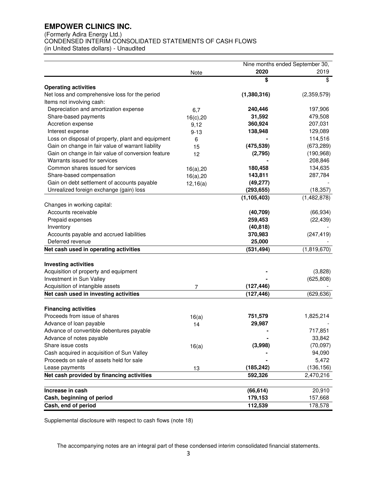(Formerly Adira Energy Ltd.)

CONDENSED INTERIM CONSOLIDATED STATEMENTS OF CASH FLOWS

(in United States dollars) - Unaudited

|                                                    |           |               | Nine months ended September 30, |
|----------------------------------------------------|-----------|---------------|---------------------------------|
|                                                    | Note      | 2020          | 2019                            |
|                                                    |           | \$            | \$                              |
| <b>Operating activities</b>                        |           |               |                                 |
| Net loss and comprehensive loss for the period     |           | (1,380,316)   | (2,359,579)                     |
| Items not involving cash:                          |           |               |                                 |
| Depreciation and amortization expense              | 6,7       | 240,446       | 197,906                         |
| Share-based payments                               | 16(c), 20 | 31,592        | 479,508                         |
| Accretion expense                                  | 9,12      | 360,924       | 207,031                         |
| Interest expense                                   | $9 - 13$  | 138,948       | 129,089                         |
| Loss on disposal of property, plant and equipment  | 6         |               | 114,516                         |
| Gain on change in fair value of warrant liability  | 15        | (475, 539)    | (673, 289)                      |
| Gain on change in fair value of conversion feature | 12        | (2,795)       | (190, 968)                      |
| Warrants issued for services                       |           |               | 208,846                         |
| Common shares issued for services                  | 16(a), 20 | 180,458       | 134,635                         |
| Share-based compensation                           | 16(a), 20 | 143,811       | 287,784                         |
| Gain on debt settlement of accounts payable        | 12,16(a)  | (49, 277)     |                                 |
| Unrealized foreign exchange (gain) loss            |           | (293, 655)    | (18, 357)                       |
|                                                    |           | (1, 105, 403) | (1, 482, 878)                   |
| Changes in working capital:                        |           |               |                                 |
| Accounts receivable                                |           | (40, 709)     | (66, 934)                       |
| Prepaid expenses                                   |           | 259,453       | (22, 439)                       |
| Inventory                                          |           | (40, 818)     |                                 |
| Accounts payable and accrued liabilities           |           | 370,983       | (247, 419)                      |
| Deferred revenue                                   |           | 25,000        |                                 |
| Net cash used in operating activities              |           | (531, 494)    | (1,819,670)                     |
| <b>Investing activities</b>                        |           |               |                                 |
| Acquisition of property and equipment              |           |               | (3,828)                         |
| Investment in Sun Valley                           |           |               | (625, 808)                      |
| Acquisition of intangible assets                   |           | (127, 446)    |                                 |
| Net cash used in investing activities              | 7         |               | (629, 636)                      |
|                                                    |           | (127, 446)    |                                 |
| <b>Financing activities</b>                        |           |               |                                 |
| Proceeds from issue of shares                      | 16(a)     | 751,579       | 1,825,214                       |
| Advance of loan payable                            | 14        | 29,987        |                                 |
| Advance of convertible debentures payable          |           |               | 717,851                         |
| Advance of notes payable                           |           |               | 33,842                          |
| Share issue costs                                  | 16(a)     | (3,998)       | (70,097)                        |
| Cash acquired in acquisition of Sun Valley         |           |               | 94,090                          |
| Proceeds on sale of assets held for sale           |           |               | 5,472                           |
| Lease payments                                     | 13        | (185, 242)    | (136, 156)                      |
| Net cash provided by financing activities          |           | 592,326       | 2,470,216                       |
|                                                    |           |               |                                 |
| Increase in cash                                   |           | (66, 614)     | 20,910                          |
| Cash, beginning of period                          |           | 179,153       | 157,668                         |
| Cash, end of period                                |           | 112,539       | 178,578                         |

Supplemental disclosure with respect to cash flows (note 18)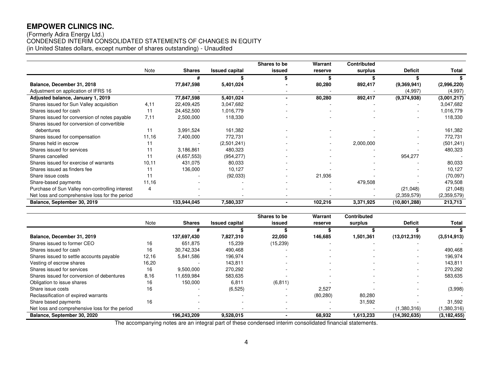## (Formerly Adira Energy Ltd.) CONDENSED INTERIM CONSOLIDATED STATEMENTS OF CHANGES IN EQUITY (in United States dollars, except number of shares outstanding) - Unaudited

|                                                 |        |               |                       | Shares to be | Warrant | <b>Contributed</b> |                |             |
|-------------------------------------------------|--------|---------------|-----------------------|--------------|---------|--------------------|----------------|-------------|
|                                                 | Note   | <b>Shares</b> | <b>Issued capital</b> | issued       | reserve | surplus            | <b>Deficit</b> | Total       |
|                                                 |        |               |                       |              |         |                    |                |             |
| Balance, December 31, 2018                      |        | 77,847,598    | 5,401,024             |              | 80,280  | 892,417            | (9,369,941)    | (2,996,220) |
| Adjustment on application of IFRS 16            |        |               |                       |              |         |                    | (4,997)        | (4,997)     |
| Adjusted balance, January 1, 2019               |        | 77,847,598    | 5,401,024             | -            | 80,280  | 892,417            | (9,374,938)    | (3,001,217) |
| Shares issued for Sun Valley acquisition        | 4,11   | 22,409,425    | 3,047,682             |              |         |                    |                | 3,047,682   |
| Shares issued for cash                          | 11     | 24,452,500    | 1,016,779             |              |         |                    |                | 1,016,779   |
| Shares issued for conversion of notes payable   | 7.11   | 2,500,000     | 118,330               |              |         |                    |                | 118,330     |
| Shares issued for conversion of convertible     |        |               |                       |              |         |                    |                |             |
| debentures                                      | 11     | 3,991,524     | 161,382               |              |         |                    |                | 161,382     |
| Shares issued for compensation                  | 11,16  | 7,400,000     | 772,731               |              |         |                    |                | 772,731     |
| Shares held in escrow                           |        |               | (2,501,241)           |              |         | 2,000,000          |                | (501, 241)  |
| Shares issued for services                      | 11     | 3,186,861     | 480,323               |              |         |                    |                | 480,323     |
| Shares cancelled                                | 11     | (4,657,553)   | (954, 277)            |              |         |                    | 954,277        |             |
| Shares issued for exercise of warrants          | 10, 11 | 431,075       | 80,033                |              |         |                    |                | 80,033      |
| Shares issued as finders fee                    | 11     | 136,000       | 10,127                |              |         |                    |                | 10,127      |
| Share issue costs                               | 11     |               | (92, 033)             |              | 21,936  |                    |                | (70,097)    |
| Share-based payments                            | 11,16  |               |                       |              |         | 479,508            |                | 479,508     |
| Purchase of Sun Valley non-controlling interest | 4      |               |                       |              |         |                    | (21,048)       | (21, 048)   |
| Net loss and comprehensive loss for the period  |        |               |                       |              |         |                    | (2,359,579)    | (2,359,579) |
| Balance, September 30, 2019                     |        | 133,944,045   | 7,580,337             |              | 102,216 | 3,371,925          | (10, 801, 288) | 213,713     |

|                                                |       |               |                       | Shares to be | Warrant   | <b>Contributed</b> |                          |               |
|------------------------------------------------|-------|---------------|-----------------------|--------------|-----------|--------------------|--------------------------|---------------|
|                                                | Note  | <b>Shares</b> | <b>Issued capital</b> | issued       | reserve   | surplus            | <b>Deficit</b>           | Total         |
|                                                |       |               |                       |              |           |                    |                          |               |
| Balance, December 31, 2019                     |       | 137,697,430   | 7,827,310             | 22,050       | 146,685   | 1,501,361          | (13,012,319)             | (3,514,913)   |
| Shares issued to former CEO                    | 16    | 651,875       | 15,239                | (15, 239)    |           |                    |                          |               |
| Shares issued for cash                         | 16    | 30.742.334    | 490,468               | ۰            |           |                    | $\overline{a}$           | 490,468       |
| Shares issued to settle accounts payable       | 12,16 | 5,841,586     | 196,974               | ۰            |           |                    | $\overline{\phantom{a}}$ | 196,974       |
| Vesting of escrow shares                       | 16,20 |               | 143,811               |              |           |                    | $\overline{\phantom{a}}$ | 143,811       |
| Shares issued for services                     | 16    | 9,500,000     | 270,292               |              |           |                    |                          | 270,292       |
| Shares issued for conversion of debentures     | 8.16  | 11,659,984    | 583,635               |              |           |                    |                          | 583,635       |
| Obligation to issue shares                     | 16    | 150,000       | 6,811                 | (6, 811)     |           |                    | $\overline{\phantom{a}}$ |               |
| Share issue costs                              | 16    |               | (6, 525)              |              | 2,527     |                    |                          | (3,998)       |
| Reclassification of expired warrants           |       |               |                       |              | (80, 280) | 80,280             |                          |               |
| Share based payments                           | 16    |               |                       |              |           | 31,592             |                          | 31,592        |
| Net loss and comprehensive loss for the period |       |               |                       | ۰            |           |                    | (1,380,316)              | (1,380,316)   |
| Balance, September 30, 2020                    |       | 196,243,209   | 9,528,015             |              | 68,932    | 1,613,233          | (14,392,635)             | (3, 182, 455) |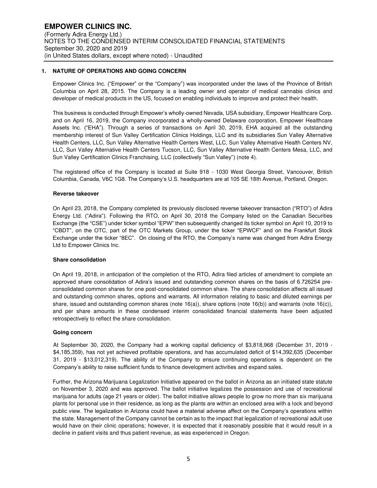## **1. NATURE OF OPERATIONS AND GOING CONCERN**

Empower Clinics Inc. ("Empower" or the "Company") was incorporated under the laws of the Province of British Columbia on April 28, 2015. The Company is a leading owner and operator of medical cannabis clinics and developer of medical products in the US, focused on enabling individuals to improve and protect their health.

This business is conducted through Empower's wholly-owned Nevada, USA subsidiary, Empower Healthcare Corp. and on April 16, 2019, the Company incorporated a wholly-owned Delaware corporation, Empower Healthcare Assets Inc. ("EHA"). Through a series of transactions on April 30, 2019, EHA acquired all the outstanding membership interest of Sun Valley Certification Clinics Holdings, LLC and its subsidiaries Sun Valley Alternative Health Centers, LLC, Sun Valley Alternative Health Centers West, LLC, Sun Valley Alternative Health Centers NV, LLC, Sun Valley Alternative Health Centers Tucson, LLC, Sun Valley Alternative Health Centers Mesa, LLC, and Sun Valley Certification Clinics Franchising, LLC (collectively "Sun Valley") (note 4).

The registered office of the Company is located at Suite 918 - 1030 West Georgia Street, Vancouver, British Columbia, Canada, V6C 1G8. The Company's U.S. headquarters are at 105 SE 18th Avenue, Portland, Oregon.

#### **Reverse takeover**

On April 23, 2018, the Company completed its previously disclosed reverse takeover transaction ("RTO") of Adira Energy Ltd. ("Adira"). Following the RTO, on April 30, 2018 the Company listed on the Canadian Securities Exchange (the "CSE") under ticker symbol "EPW" then subsequently changed its ticker symbol on April 10, 2019 to "CBDT", on the OTC, part of the OTC Markets Group, under the ticker "EPWCF" and on the Frankfurt Stock Exchange under the ticker "8EC". On closing of the RTO, the Company's name was changed from Adira Energy Ltd to Empower Clinics Inc.

#### **Share consolidation**

On April 19, 2018, in anticipation of the completion of the RTO, Adira filed articles of amendment to complete an approved share consolidation of Adira's issued and outstanding common shares on the basis of 6.726254 preconsolidated common shares for one post-consolidated common share. The share consolidation affects all issued and outstanding common shares, options and warrants. All information relating to basic and diluted earnings per share, issued and outstanding common shares (note 16(a)), share options (note 16(b)) and warrants (note 16(c)), and per share amounts in these condensed interim consolidated financial statements have been adjusted retrospectively to reflect the share consolidation.

#### **Going concern**

At September 30, 2020, the Company had a working capital deficiency of \$3,818,968 (December 31, 2019 - \$4,185,359), has not yet achieved profitable operations, and has accumulated deficit of \$14,392,635 (December 31, 2019 - \$13,012,319). The ability of the Company to ensure continuing operations is dependent on the Company's ability to raise sufficient funds to finance development activities and expand sales.

Further, the Arizona Marijuana Legalization Initiative appeared on the ballot in Arizona as an initiated state statute on November 3, 2020 and was approved. The ballot initiative legalizes the possession and use of recreational marijuana for adults (age 21 years or older). The ballot initiative allows people to grow no more than six marijuana plants for personal use in their residence, as long as the plants are within an enclosed area with a lock and beyond public view. The legalization in Arizona could have a material adverse affect on the Company's operations within the state. Management of the Company cannot be certain as to the impact that legalization of recreational adult use would have on their clinic operations; however, it is expected that it reasonably possible that it would result in a decline in patient visits and thus patient revenue, as was experienced in Oregon.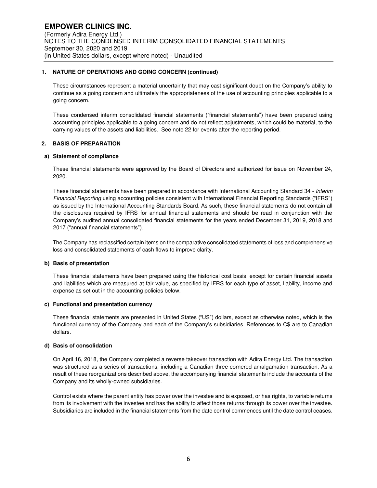## **1. NATURE OF OPERATIONS AND GOING CONCERN (continued)**

These circumstances represent a material uncertainty that may cast significant doubt on the Company's ability to continue as a going concern and ultimately the appropriateness of the use of accounting principles applicable to a going concern.

These condensed interim consolidated financial statements ("financial statements") have been prepared using accounting principles applicable to a going concern and do not reflect adjustments, which could be material, to the carrying values of the assets and liabilities. See note 22 for events after the reporting period.

### **2. BASIS OF PREPARATION**

### **a) Statement of compliance**

These financial statements were approved by the Board of Directors and authorized for issue on November 24, 2020.

These financial statements have been prepared in accordance with International Accounting Standard 34 - Interim Financial Reporting using accounting policies consistent with International Financial Reporting Standards ("IFRS") as issued by the International Accounting Standards Board. As such, these financial statements do not contain all the disclosures required by IFRS for annual financial statements and should be read in conjunction with the Company's audited annual consolidated financial statements for the years ended December 31, 2019, 2018 and 2017 ("annual financial statements").

The Company has reclassified certain items on the comparative consolidated statements of loss and comprehensive loss and consolidated statements of cash flows to improve clarity.

#### **b) Basis of presentation**

These financial statements have been prepared using the historical cost basis, except for certain financial assets and liabilities which are measured at fair value, as specified by IFRS for each type of asset, liability, income and expense as set out in the accounting policies below.

#### **c) Functional and presentation currency**

These financial statements are presented in United States ("US") dollars, except as otherwise noted, which is the functional currency of the Company and each of the Company's subsidiaries. References to C\$ are to Canadian dollars.

## **d) Basis of consolidation**

On April 16, 2018, the Company completed a reverse takeover transaction with Adira Energy Ltd. The transaction was structured as a series of transactions, including a Canadian three-cornered amalgamation transaction. As a result of these reorganizations described above, the accompanying financial statements include the accounts of the Company and its wholly-owned subsidiaries.

Control exists where the parent entity has power over the investee and is exposed, or has rights, to variable returns from its involvement with the investee and has the ability to affect those returns through its power over the investee. Subsidiaries are included in the financial statements from the date control commences until the date control ceases.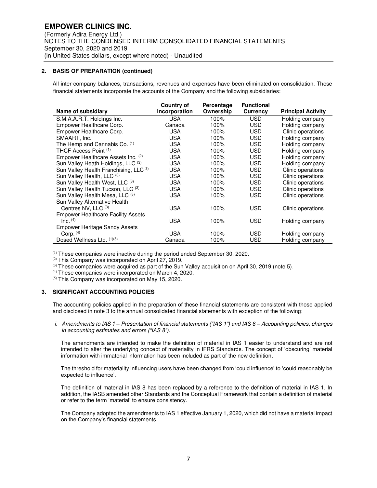## **2. BASIS OF PREPARATION (continued)**

 All inter-company balances, transactions, revenues and expenses have been eliminated on consolidation. These financial statements incorporate the accounts of the Company and the following subsidiaries:

|                                           | Country of    | Percentage | <b>Functional</b> |                           |
|-------------------------------------------|---------------|------------|-------------------|---------------------------|
| Name of subsidiary                        | Incorporation | Ownership  | Currency          | <b>Principal Activity</b> |
| S.M.A.A.R.T. Holdings Inc.                | USA           | 100%       | USD               | Holding company           |
| Empower Healthcare Corp.                  | Canada        | 100%       | USD.              | Holding company           |
| Empower Healthcare Corp.                  | <b>USA</b>    | 100%       | USD.              | Clinic operations         |
| SMAART, Inc.                              | USA           | 100%       | USD               | Holding company           |
| The Hemp and Cannabis Co. (1)             | <b>USA</b>    | 100%       | USD.              | Holding company           |
| THCF Access Point (1)                     | <b>USA</b>    | 100%       | USD               | Holding company           |
| Empower Healthcare Assets Inc. (2)        | <b>USA</b>    | 100%       | USD               | Holding company           |
| Sun Valley Heath Holdings, LLC (3)        | <b>USA</b>    | 100%       | USD.              | Holding company           |
| Sun Valley Health Franchising, LLC 3)     | <b>USA</b>    | 100%       | USD               | Clinic operations         |
| Sun Valley Health, LLC (3)                | <b>USA</b>    | 100%       | USD               | Clinic operations         |
| Sun Valley Health West, LLC (3)           | <b>USA</b>    | 100%       | USD               | Clinic operations         |
| Sun Valley Health Tucson, LLC (3)         | <b>USA</b>    | 100%       | <b>USD</b>        | Clinic operations         |
| Sun Valley Health Mesa, LLC (3)           | <b>USA</b>    | 100%       | USD               | Clinic operations         |
| Sun Valley Alternative Health             |               |            |                   |                           |
| Centres NV, LLC (3)                       | <b>USA</b>    | 100%       | USD               | Clinic operations         |
| <b>Empower Healthcare Facility Assets</b> |               |            |                   |                           |
| $Inc.$ $(4)$                              | <b>USA</b>    | 100%       | USD               | Holding company           |
| <b>Empower Heritage Sandy Assets</b>      |               |            |                   |                           |
| Corp. $(4)$                               | USA           | 100%       | USD               | Holding company           |
| Dosed Wellness Ltd. (1)(5)                | Canada        | 100%       | USD               | Holding company           |

(1) These companies were inactive during the period ended September 30, 2020.

(2) This Company was incorporated on April 27, 2019.

 $^{(3)}$  These companies were acquired as part of the Sun Valley acquisition on April 30, 2019 (note 5).

(4) These companies were incorporated on March 4, 2020.

(5) This Company was incorporated on May 15, 2020.

## **3. SIGNIFICANT ACCOUNTING POLICIES**

The accounting policies applied in the preparation of these financial statements are consistent with those applied and disclosed in note 3 to the annual consolidated financial statements with exception of the following:

i. Amendments to IAS 1 *–* Presentation of fina*ncial statements ("IAS 1") and IAS 8 –* Accounting policies, changes *in accounting estimates and errors ("IAS 8").*

The amendments are intended to make the definition of material in IAS 1 easier to understand and are not intended to alter the underlying concept of materiality in IFRS Standards. The concept of 'obscuring' material information with immaterial information has been included as part of the new definition.

The threshold for materiality influencing users have been changed from 'could influence' to 'could reasonably be expected to influence'.

The definition of material in IAS 8 has been replaced by a reference to the definition of material in IAS 1. In addition, the IASB amended other Standards and the Conceptual Framework that contain a definition of material or refer to the term 'material' to ensure consistency.

The Company adopted the amendments to IAS 1 effective January 1, 2020, which did not have a material impact on the Company's financial statements.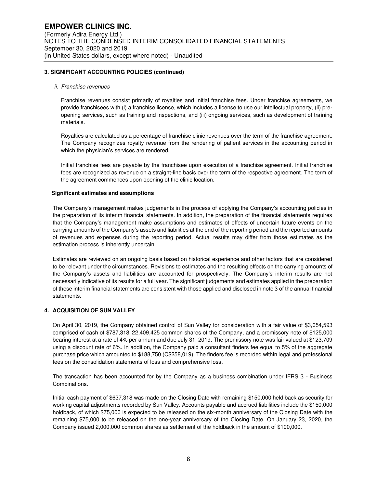### **3. SIGNIFICANT ACCOUNTING POLICIES (continued)**

#### ii. Franchise revenues

Franchise revenues consist primarily of royalties and initial franchise fees. Under franchise agreements, we provide franchisees with (i) a franchise license, which includes a license to use our intellectual property, (ii) preopening services, such as training and inspections, and (iii) ongoing services, such as development of training materials.

Royalties are calculated as a percentage of franchise clinic revenues over the term of the franchise agreement. The Company recognizes royalty revenue from the rendering of patient services in the accounting period in which the physician's services are rendered.

Initial franchise fees are payable by the franchisee upon execution of a franchise agreement. Initial franchise fees are recognized as revenue on a straight-line basis over the term of the respective agreement. The term of the agreement commences upon opening of the clinic location.

#### **Significant estimates and assumptions**

The Company's management makes judgements in the process of applying the Company's accounting policies in the preparation of its interim financial statements. In addition, the preparation of the financial statements requires that the Company's management make assumptions and estimates of effects of uncertain future events on the carrying amounts of the Company's assets and liabilities at the end of the reporting period and the reported amounts of revenues and expenses during the reporting period. Actual results may differ from those estimates as the estimation process is inherently uncertain.

Estimates are reviewed on an ongoing basis based on historical experience and other factors that are considered to be relevant under the circumstances. Revisions to estimates and the resulting effects on the carrying amounts of the Company's assets and liabilities are accounted for prospectively. The Company's interim results are not necessarily indicative of its results for a full year. The significant judgements and estimates applied in the preparation of these interim financial statements are consistent with those applied and disclosed in note 3 of the annual financial statements.

## **4. ACQUISITION OF SUN VALLEY**

On April 30, 2019, the Company obtained control of Sun Valley for consideration with a fair value of \$3,054,593 comprised of cash of \$787,318, 22,409,425 common shares of the Company, and a promissory note of \$125,000 bearing interest at a rate of 4% per annum and due July 31, 2019. The promissory note was fair valued at \$123,709 using a discount rate of 6%. In addition, the Company paid a consultant finders fee equal to 5% of the aggregate purchase price which amounted to \$188,750 (C\$258,019). The finders fee is recorded within legal and professional fees on the consolidation statements of loss and comprehensive loss.

The transaction has been accounted for by the Company as a business combination under IFRS 3 - Business Combinations.

Initial cash payment of \$637,318 was made on the Closing Date with remaining \$150,000 held back as security for working capital adjustments recorded by Sun Valley. Accounts payable and accrued liabilities include the \$150,000 holdback, of which \$75,000 is expected to be released on the six-month anniversary of the Closing Date with the remaining \$75,000 to be released on the one-year anniversary of the Closing Date. On January 23, 2020, the Company issued 2,000,000 common shares as settlement of the holdback in the amount of \$100,000.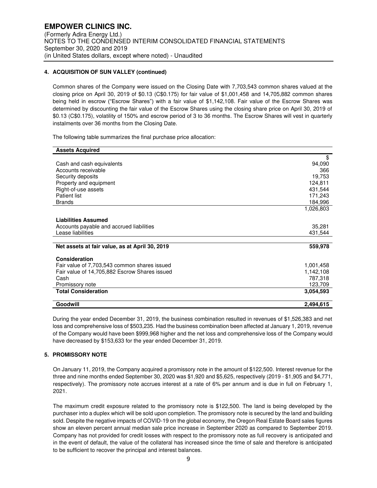### **4. ACQUISITION OF SUN VALLEY (continued)**

Common shares of the Company were issued on the Closing Date with 7,703,543 common shares valued at the closing price on April 30, 2019 of \$0.13 (C\$0.175) for fair value of \$1,001,458 and 14,705,882 common shares being held in escrow ("Escrow Shares") with a fair value of \$1,142,108. Fair value of the Escrow Shares was determined by discounting the fair value of the Escrow Shares using the closing share price on April 30, 2019 of \$0.13 (C\$0.175), volatility of 150% and escrow period of 3 to 36 months. The Escrow Shares will vest in quarterly instalments over 36 months from the Closing Date.

The following table summarizes the final purchase price allocation:

| <b>Assets Acquired</b>                         |           |
|------------------------------------------------|-----------|
|                                                | \$        |
| Cash and cash equivalents                      | 94,090    |
| Accounts receivable                            | 366       |
| Security deposits                              | 19,753    |
| Property and equipment                         | 124,811   |
| Right-of-use assets                            | 431,544   |
| <b>Patient list</b>                            | 171,243   |
| <b>Brands</b>                                  | 184,996   |
|                                                | 1,026,803 |
| <b>Liabilities Assumed</b>                     |           |
| Accounts payable and accrued liabilities       | 35,281    |
| Lease liabilities                              | 431,544   |
|                                                |           |
| Net assets at fair value, as at April 30, 2019 | 559,978   |
| Consideration                                  |           |
| Fair value of 7,703,543 common shares issued   | 1,001,458 |
| Fair value of 14,705,882 Escrow Shares issued  | 1,142,108 |
| Cash                                           | 787,318   |
| Promissory note                                | 123,709   |
| <b>Total Consideration</b>                     | 3.054,593 |
| Goodwill                                       | 2,494,615 |

During the year ended December 31, 2019, the business combination resulted in revenues of \$1,526,383 and net loss and comprehensive loss of \$503,235. Had the business combination been affected at January 1, 2019, revenue of the Company would have been \$999,968 higher and the net loss and comprehensive loss of the Company would have decreased by \$153,633 for the year ended December 31, 2019.

## **5. PROMISSORY NOTE**

On January 11, 2019, the Company acquired a promissory note in the amount of \$122,500. Interest revenue for the three and nine months ended September 30, 2020 was \$1,920 and \$5,625, respectively (2019 - \$1,905 and \$4,771, respectively). The promissory note accrues interest at a rate of 6% per annum and is due in full on February 1, 2021.

The maximum credit exposure related to the promissory note is \$122,500. The land is being developed by the purchaser into a duplex which will be sold upon completion. The promissory note is secured by the land and building sold. Despite the negative impacts of COVID-19 on the global economy, the Oregon Real Estate Board sales figures show an eleven percent annual median sale price increase in September 2020 as compared to September 2019. Company has not provided for credit losses with respect to the promissory note as full recovery is anticipated and in the event of default, the value of the collateral has increased since the time of sale and therefore is anticipated to be sufficient to recover the principal and interest balances.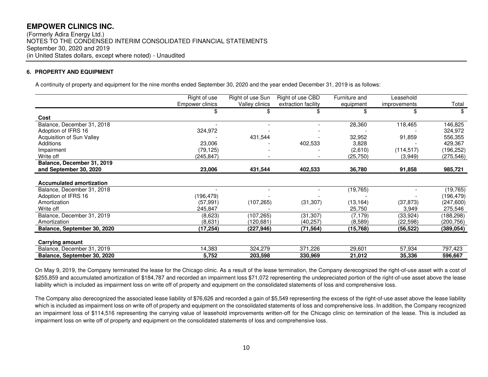(Formerly Adira Energy Ltd.) NOTES TO THE CONDENSED INTERIM CONSOLIDATED FINANCIAL STATEMENTS September 30, 2020 and 2019 (in United States dollars, except where noted) - Unaudited

## **6. PROPERTY AND EQUIPMENT**

A continuity of property and equipment for the nine months ended September 30, 2020 and the year ended December 31, 2019 is as follows:

|                                 | Right of use           | Right of use Sun | Right of use CBD    | Furniture and | Leasehold    |            |
|---------------------------------|------------------------|------------------|---------------------|---------------|--------------|------------|
|                                 | <b>Empower clinics</b> | Valley clinics   | extraction facility | equipment     | improvements | Total      |
|                                 | \$                     | \$               |                     | \$            | \$           | \$         |
| Cost                            |                        |                  |                     |               |              |            |
| Balance, December 31, 2018      |                        |                  |                     | 28,360        | 118,465      | 146,825    |
| Adoption of IFRS 16             | 324,972                |                  |                     |               |              | 324,972    |
| Acquisition of Sun Valley       |                        | 431,544          |                     | 32,952        | 91,859       | 556,355    |
| Additions                       | 23,006                 |                  | 402,533             | 3,828         |              | 429,367    |
| Impairment                      | (79, 125)              |                  |                     | (2,610)       | (114, 517)   | (196, 252) |
| Write off                       | (245, 847)             |                  |                     | (25,750)      | (3,949)      | (275, 546) |
| Balance, December 31, 2019      |                        |                  |                     |               |              |            |
| and September 30, 2020          | 23,006                 | 431,544          | 402,533             | 36,780        | 91,858       | 985,721    |
|                                 |                        |                  |                     |               |              |            |
| <b>Accumulated amortization</b> |                        |                  |                     |               |              |            |
| Balance, December 31, 2018      |                        |                  |                     | (19, 765)     |              | (19, 765)  |
| Adoption of IFRS 16             | (196, 479)             |                  |                     |               |              | (196,479)  |
| Amortization                    | (57, 991)              | (107, 265)       | (31, 307)           | (13, 164)     | (37, 873)    | (247, 600) |
| Write off                       | 245,847                |                  |                     | 25,750        | 3,949        | 275,546    |
| Balance, December 31, 2019      | (8,623)                | (107,265)        | (31, 307)           | (7, 179)      | (33, 924)    | (188,298)  |
| Amortization                    | (8,631)                | (120,681)        | (40, 257)           | (8,589)       | (22, 598)    | (200, 756) |
| Balance, September 30, 2020     | (17,254)               | (227,946)        | (71,564)            | (15,768)      | (56, 522)    | (389, 054) |
|                                 |                        |                  |                     |               |              |            |
| Carrying amount                 |                        |                  |                     |               |              |            |
| Balance, December 31, 2019      | 14,383                 | 324,279          | 371,226             | 29,601        | 57,934       | 797,423    |
| Balance, September 30, 2020     | 5,752                  | 203,598          | 330,969             | 21,012        | 35,336       | 596,667    |

On May 9, 2019, the Company terminated the lease for the Chicago clinic. As a result of the lease termination, the Company derecognized the right-of-use asset with a cost of \$255,859 and accumulated amortization of \$184,787 and recorded an impairment loss \$71,072 representing the undepreciated portion of the right-of-use asset above the lease liability which is included as impairment loss on write off of property and equipment on the consolidated statements of loss and comprehensive loss.

The Company also derecognized the associated lease liability of \$76,626 and recorded a gain of \$5,549 representing the excess of the right-of-use asset above the lease liability which is included as impairment loss on write off of property and equipment on the consolidated statements of loss and comprehensive loss. In addition, the Company recognized an impairment loss of \$114,516 representing the carrying value of leasehold improvements written-off for the Chicago clinic on termination of the lease. This is included as impairment loss on write off of property and equipment on the consolidated statements of loss and comprehensive loss.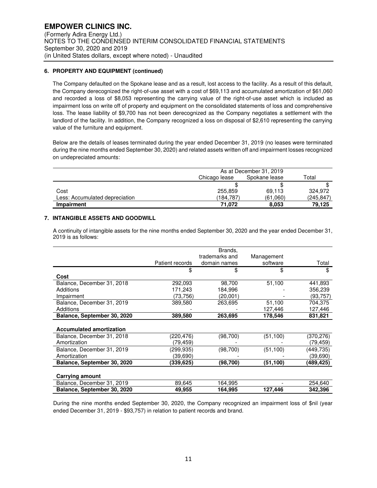### **6. PROPERTY AND EQUIPMENT (continued)**

The Company defaulted on the Spokane lease and as a result, lost access to the facility. As a result of this default, the Company derecognized the right-of-use asset with a cost of \$69,113 and accumulated amortization of \$61,060 and recorded a loss of \$8,053 representing the carrying value of the right-of-use asset which is included as impairment loss on write off of property and equipment on the consolidated statements of loss and comprehensive loss. The lease liability of \$9,700 has not been derecognized as the Company negotiates a settlement with the landlord of the facility. In addition, the Company recognized a loss on disposal of \$2,610 representing the carrying value of the furniture and equipment.

Below are the details of leases terminated during the year ended December 31, 2019 (no leases were terminated during the nine months ended September 30, 2020) and related assets written off and impairment losses recognized on undepreciated amounts:

|                                | As at December 31, 2019 |          |           |
|--------------------------------|-------------------------|----------|-----------|
|                                | Chicago lease           | Total    |           |
|                                |                         |          |           |
| Cost                           | 255,859                 | 69.113   | 324.972   |
| Less: Accumulated depreciation | (184,787)               | (61,060) | (245,847) |
| <b>Impairment</b>              | 71.072                  | 8.053    | 79.125    |

### **7. INTANGIBLE ASSETS AND GOODWILL**

A continuity of intangible assets for the nine months ended September 30, 2020 and the year ended December 31, 2019 is as follows:

|                                 | Patient records | Brands,<br>trademarks and<br>domain names | Management<br>software | Total     |
|---------------------------------|-----------------|-------------------------------------------|------------------------|-----------|
|                                 | \$              | \$                                        | \$                     | \$        |
| Cost                            |                 |                                           |                        |           |
| Balance, December 31, 2018      | 292,093         | 98,700                                    | 51,100                 | 441,893   |
| <b>Additions</b>                | 171,243         | 184,996                                   |                        | 356,239   |
| Impairment                      | (73,756)        | (20,001)                                  |                        | (93, 757) |
| Balance, December 31, 2019      | 389,580         | 263,695                                   | 51,100                 | 704,375   |
| <b>Additions</b>                |                 |                                           | 127,446                | 127,446   |
| Balance, September 30, 2020     | 389,580         | 263,695                                   | 178,546                | 831,821   |
| <b>Accumulated amortization</b> |                 |                                           |                        |           |
| Balance, December 31, 2018      | (220,476)       | (98, 700)                                 | (51, 100)              | (370,276) |
| Amortization                    | (79,459)        |                                           |                        | (79,459)  |
| Balance, December 31, 2019      | (299,935)       | (98, 700)                                 | (51, 100)              | (449,735) |
| Amortization                    | (39,690)        |                                           |                        | (39,690)  |
| Balance, September 30, 2020     | (339,625)       | (98, 700)                                 | (51,100)               | (489,425) |
| Carrying amount                 |                 |                                           |                        |           |
| Balance, December 31, 2019      | 89,645          | 164.995                                   |                        | 254,640   |
| Balance, September 30, 2020     | 49,955          | 164,995                                   | 127,446                | 342,396   |

During the nine months ended September 30, 2020, the Company recognized an impairment loss of \$nil (year ended December 31, 2019 - \$93,757) in relation to patient records and brand.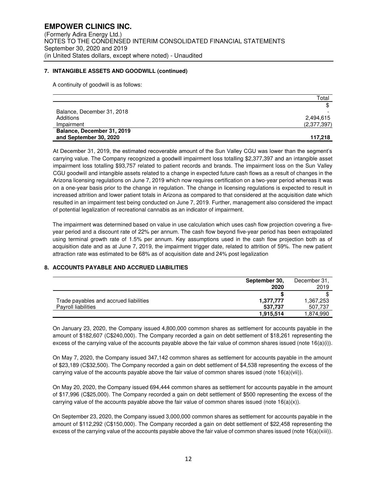### **7. INTANGIBLE ASSETS AND GOODWILL (continued)**

A continuity of goodwill is as follows:

|                            | Total       |
|----------------------------|-------------|
|                            |             |
| Balance, December 31, 2018 |             |
| Additions                  | 2,494,615   |
| Impairment                 | (2,377,397) |
| Balance, December 31, 2019 |             |
| and September 30, 2020     | 117.218     |

At December 31, 2019, the estimated recoverable amount of the Sun Valley CGU was lower than the segment's carrying value. The Company recognized a goodwill impairment loss totalling \$2,377,397 and an intangible asset impairment loss totalling \$93,757 related to patient records and brands. The impairment loss on the Sun Valley CGU goodwill and intangible assets related to a change in expected future cash flows as a result of changes in the Arizona licensing regulations on June 7, 2019 which now requires certification on a two-year period whereas it was on a one-year basis prior to the change in regulation. The change in licensing regulations is expected to result in increased attrition and lower patient totals in Arizona as compared to that considered at the acquisition date which resulted in an impairment test being conducted on June 7, 2019. Further, management also considered the impact of potential legalization of recreational cannabis as an indicator of impairment.

The impairment was determined based on value in use calculation which uses cash flow projection covering a fiveyear period and a discount rate of 22% per annum. The cash flow beyond five-year period has been extrapolated using terminal growth rate of 1.5% per annum. Key assumptions used in the cash flow projection both as of acquisition date and as at June 7, 2019, the impairment trigger date, related to attrition of 59%. The new patient attraction rate was estimated to be 68% as of acquisition date and 24% post legalization

## **8. ACCOUNTS PAYABLE AND ACCRUED LIABILITIES**

|                                        | September 30,<br>2020 | December 31.<br>2019 |
|----------------------------------------|-----------------------|----------------------|
|                                        |                       |                      |
| Trade payables and accrued liabilities | 1,377,777             | 1,367,253            |
| Payroll liabilities                    | 537.737               | 507,737              |
|                                        | 1,915,514             | 1,874,990            |

On January 23, 2020, the Company issued 4,800,000 common shares as settlement for accounts payable in the amount of \$182,607 (C\$240,000). The Company recorded a gain on debt settlement of \$18,261 representing the excess of the carrying value of the accounts payable above the fair value of common shares issued (note  $16(a)(i)$ ).

On May 7, 2020, the Company issued 347,142 common shares as settlement for accounts payable in the amount of \$23,189 (C\$32,500). The Company recorded a gain on debt settlement of \$4,538 representing the excess of the carrying value of the accounts payable above the fair value of common shares issued (note 16(a)(vii)).

On May 20, 2020, the Company issued 694,444 common shares as settlement for accounts payable in the amount of \$17,996 (C\$25,000). The Company recorded a gain on debt settlement of \$500 representing the excess of the carrying value of the accounts payable above the fair value of common shares issued (note  $16(a)(x)$ ).

On September 23, 2020, the Company issued 3,000,000 common shares as settlement for accounts payable in the amount of \$112,292 (C\$150,000). The Company recorded a gain on debt settlement of \$22,458 representing the excess of the carrying value of the accounts payable above the fair value of common shares issued (note 16(a)(xiii)).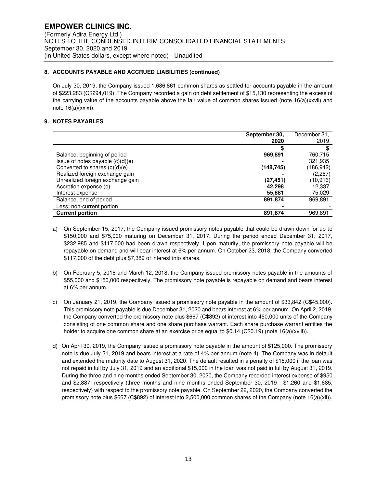## **8. ACCOUNTS PAYABLE AND ACCRUED LIABILITIES (continued)**

On July 30, 2019, the Company issued 1,686,861 common shares as settled for accounts payable in the amount of \$223,283 (C\$294,019). The Company recorded a gain on debt settlement of \$15,130 representing the excess of the carrying value of the accounts payable above the fair value of common shares issued (note 16(a)(xxvii) and note 16(a)(xxix)).

## **9. NOTES PAYABLES**

|                                    | September 30, | December 31, |
|------------------------------------|---------------|--------------|
|                                    | 2020          | 2019         |
|                                    |               |              |
| Balance, beginning of period       | 969,891       | 760,715      |
| Issue of notes payable $(c)(d)(e)$ |               | 321,935      |
| Converted to shares (c)(d)(e)      | (148,745)     | (186, 942)   |
| Realized foreign exchange gain     |               | (2,267)      |
| Unrealized foreign exchange gain   | (27,451)      | (10,916)     |
| Accretion expense (e)              | 42.298        | 12.337       |
| Interest expense                   | 55,881        | 75,029       |
| Balance, end of period             | 891,874       | 969,891      |
| Less: non-current portion          |               |              |
| <b>Current portion</b>             | 891,874       | 969,891      |

- a) On September 15, 2017, the Company issued promissory notes payable that could be drawn down for up to \$150,000 and \$75,000 maturing on December 31, 2017. During the period ended December 31, 2017, \$232,985 and \$117,000 had been drawn respectively. Upon maturity, the promissory note payable will be repayable on demand and will bear interest at 6% per annum. On October 23, 2018, the Company converted \$117,000 of the debt plus \$7,389 of interest into shares.
- b) On February 5, 2018 and March 12, 2018, the Company issued promissory notes payable in the amounts of \$55,000 and \$150,000 respectively. The promissory note payable is repayable on demand and bears interest at 6% per annum.
- c) On January 21, 2019, the Company issued a promissory note payable in the amount of \$33,842 (C\$45,000). This promissory note payable is due December 31, 2020 and bears interest at 6% per annum. On April 2, 2019, the Company converted the promissory note plus \$667 (C\$892) of interest into 450,000 units of the Company consisting of one common share and one share purchase warrant. Each share purchase warrant entitles the holder to acquire one common share at an exercise price equal to  $$0.14$  (C $$0.19$ ) (note  $16(a)(xviii)$ ).
- d) On April 30, 2019, the Company issued a promissory note payable in the amount of \$125,000. The promissory note is due July 31, 2019 and bears interest at a rate of 4% per annum (note 4). The Company was in default and extended the maturity date to August 31, 2020. The default resulted in a penalty of \$15,000 if the loan was not repaid in full by July 31, 2019 and an additional \$15,000 in the loan was not paid in full by August 31, 2019. During the three and nine months ended September 30, 2020, the Company recorded interest expense of \$950 and \$2,887, respectively (three months and nine months ended September 30, 2019 - \$1,260 and \$1,685, respectively) with respect to the promissory note payable. On September 22, 2020, the Company converted the promissory note plus \$667 (C\$892) of interest into 2,500,000 common shares of the Company (note 16(a)(xii)).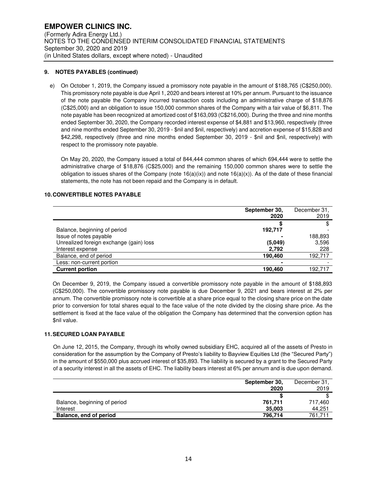## **9. NOTES PAYABLES (continued)**

e) On October 1, 2019, the Company issued a promissory note payable in the amount of \$188,765 (C\$250,000). This promissory note payable is due April 1, 2020 and bears interest at 10% per annum. Pursuant to the issuance of the note payable the Company incurred transaction costs including an administrative charge of \$18,876 (C\$25,000) and an obligation to issue 150,000 common shares of the Company with a fair value of \$6,811. The note payable has been recognized at amortized cost of \$163,093 (C\$216,000). During the three and nine months ended September 30, 2020, the Company recorded interest expense of \$4,881 and \$13,960, respectively (three and nine months ended September 30, 2019 - \$nil and \$nil, respectively) and accretion expense of \$15,828 and \$42,298, respectively (three and nine months ended September 30, 2019 - \$nil and \$nil, respectively) with respect to the promissory note payable.

On May 20, 2020, the Company issued a total of 844,444 common shares of which 694,444 were to settle the administrative charge of \$18,876 (C\$25,000) and the remaining 150,000 common shares were to settle the obligation to issues shares of the Company (note  $16(a)(ix)$ ) and note  $16(a)(x)$ ). As of the date of these financial statements, the note has not been repaid and the Company is in default.

## **10. CONVERTIBLE NOTES PAYABLE**

|                                         | September 30,<br>2020 | December 31,<br>2019 |
|-----------------------------------------|-----------------------|----------------------|
|                                         |                       |                      |
| Balance, beginning of period            | 192,717               |                      |
| Issue of notes payable                  |                       | 188,893              |
| Unrealized foreign exchange (gain) loss | (5.049)               | 3,596                |
| Interest expense                        | 2,792                 | 228                  |
| Balance, end of period                  | 190,460               | 192,717              |
| Less: non-current portion               |                       |                      |
| <b>Current portion</b>                  | 190,460               | 192.717              |

On December 9, 2019, the Company issued a convertible promissory note payable in the amount of \$188,893 (C\$250,000). The convertible promissory note payable is due December 9, 2021 and bears interest at 2% per annum. The convertible promissory note is convertible at a share price equal to the closing share price on the date prior to conversion for total shares equal to the face value of the note divided by the closing share price. As the settlement is fixed at the face value of the obligation the Company has determined that the conversion option has \$nil value.

## **11. SECURED LOAN PAYABLE**

On June 12, 2015, the Company, through its wholly owned subsidiary EHC, acquired all of the assets of Presto in consideration for the assumption by the Company of Presto's liability to Bayview Equities Ltd (the "Secured Party") in the amount of \$550,000 plus accrued interest of \$35,893. The liability is secured by a grant to the Secured Party of a security interest in all the assets of EHC. The liability bears interest at 6% per annum and is due upon demand.

|                              | September 30, | December 31. |
|------------------------------|---------------|--------------|
|                              | 2020          | 2019         |
|                              |               |              |
| Balance, beginning of period | 761.711       | 717,460      |
| Interest                     | 35,003        | 44,251       |
| Balance, end of period       | 796.714       | 761.711      |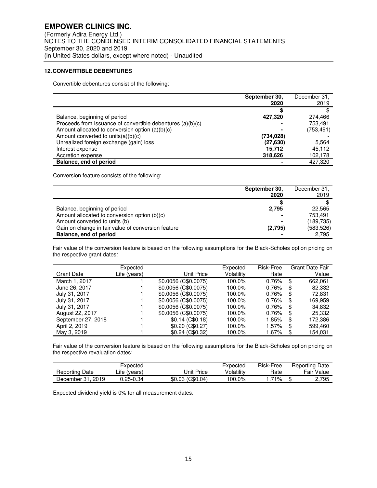## **12. CONVERTIBLE DEBENTURES**

Convertible debentures consist of the following:

|                                                            | September 30,<br>2020 | December 31,<br>2019 |
|------------------------------------------------------------|-----------------------|----------------------|
|                                                            | S                     |                      |
| Balance, beginning of period                               | 427,320               | 274.466              |
| Proceeds from Issuance of convertible debentures (a)(b)(c) |                       | 753,491              |
| Amount allocated to conversion option (a)(b)(c)            |                       | (753, 491)           |
| Amount converted to units $(a)(b)(c)$                      | (734, 028)            |                      |
| Unrealized foreign exchange (gain) loss                    | (27, 630)             | 5.564                |
| Interest expense                                           | 15.712                | 45.112               |
| Accretion expense                                          | 318,626               | 102,178              |
| Balance, end of period                                     |                       | 427.320              |

Conversion feature consists of the following:

|                                                    | September 30, | December 31, |
|----------------------------------------------------|---------------|--------------|
|                                                    | 2020          | 2019         |
|                                                    |               |              |
| Balance, beginning of period                       | 2,795         | 22,565       |
| Amount allocated to conversion option (b)(c)       |               | 753.491      |
| Amount converted to units (b)                      |               | (189, 735)   |
| Gain on change in fair value of conversion feature | (2,795)       | (583, 526)   |
| Balance, end of period                             |               | 2,795        |

Fair value of the conversion feature is based on the following assumptions for the Black-Scholes option pricing on the respective grant dates:

| <b>Grant Date</b>  | Expected<br>Life (years) | Unit Price           | Expected<br>Volatility | Risk-Free<br>Rate |    | <b>Grant Date Fair</b><br>Value |
|--------------------|--------------------------|----------------------|------------------------|-------------------|----|---------------------------------|
| March 1, 2017      |                          | \$0.0056 (C\$0.0075) | 100.0%                 | 0.76%             | \$ | 662.061                         |
| June 26, 2017      |                          | \$0.0056 (C\$0.0075) | 100.0%                 | 0.76%             | S  | 82,332                          |
| July 31, 2017      |                          | \$0.0056 (C\$0.0075) | 100.0%                 | $0.76\%$          | \$ | 72,831                          |
| July 31, 2017      |                          | \$0.0056 (C\$0.0075) | 100.0%                 | 0.76%             | S  | 169.959                         |
| July 31, 2017      |                          | \$0.0056 (C\$0.0075) | 100.0%                 | 0.76%             | \$ | 34.832                          |
| August 22, 2017    |                          | \$0.0056 (C\$0.0075) | 100.0%                 | $0.76\%$          | S  | 25,332                          |
| September 27, 2018 |                          | $$0.14$ (C\$0.18)    | 100.0%                 | 1.85%             | \$ | 172,386                         |
| April 2, 2019      |                          | \$0.20(C\$0.27)      | 100.0%                 | $1.57\%$          | S  | 599,460                         |
| May 3, 2019        |                          | \$0.24 (C\$0.32)     | 100.0%                 | 1.67%             | S  | 154.031                         |

Fair value of the conversion feature is based on the following assumptions for the Black-Scholes option pricing on the respective revaluation dates:

|                   | Expected       |                  | Expected   | Risk-Free | <b>Reporting Date</b> |
|-------------------|----------------|------------------|------------|-----------|-----------------------|
| Reporting Date    | $Life$ (years) | Unit Price       | Volatilitv | Rate      | <b>Fair Value</b>     |
| December 31, 2019 | J.25-0.34      | \$0.03 (C\$0.04) | $100.0\%$  | 71%       | 2.795                 |

Expected dividend yield is 0% for all measurement dates.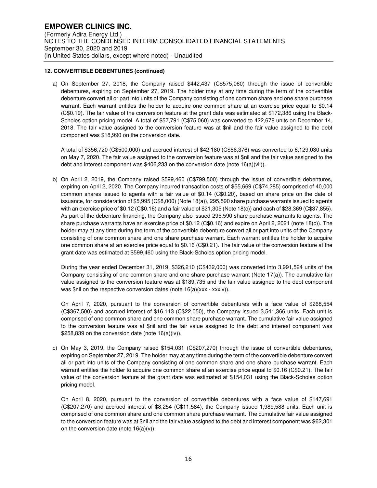### **12. CONVERTIBLE DEBENTURES (continued)**

a) On September 27, 2018, the Company raised \$442,437 (C\$575,060) through the issue of convertible debentures, expiring on September 27, 2019. The holder may at any time during the term of the convertible debenture convert all or part into units of the Company consisting of one common share and one share purchase warrant. Each warrant entitles the holder to acquire one common share at an exercise price equal to \$0.14 (C\$0.19). The fair value of the conversion feature at the grant date was estimated at \$172,386 using the Black-Scholes option pricing model. A total of \$57,791 (C\$75,060) was converted to 422,678 units on December 14, 2018. The fair value assigned to the conversion feature was at \$nil and the fair value assigned to the debt component was \$18,990 on the conversion date.

A total of \$356,720 (C\$500,000) and accrued interest of \$42,180 (C\$56,376) was converted to 6,129,030 units on May 7, 2020. The fair value assigned to the conversion feature was at \$nil and the fair value assigned to the debt and interest component was \$406,233 on the conversion date (note 16(a)(vii)).

b) On April 2, 2019, the Company raised \$599,460 (C\$799,500) through the issue of convertible debentures, expiring on April 2, 2020. The Company incurred transaction costs of \$55,669 (C\$74,285) comprised of 40,000 common shares issued to agents with a fair value of \$0.14 (C\$0.20), based on share price on the date of issuance, for consideration of \$5,995 (C\$8,000) (Note 18(a)), 295,590 share purchase warrants issued to agents with an exercise price of \$0.12 (C\$0.16) and a fair value of \$21,305 (Note 18(c)) and cash of \$28,369 (C\$37,855). As part of the debenture financing, the Company also issued 295,590 share purchase warrants to agents. The share purchase warrants have an exercise price of \$0.12 (C\$0.16) and expire on April 2, 2021 (note 18(c)). The holder may at any time during the term of the convertible debenture convert all or part into units of the Company consisting of one common share and one share purchase warrant. Each warrant entitles the holder to acquire one common share at an exercise price equal to \$0.16 (C\$0.21). The fair value of the conversion feature at the grant date was estimated at \$599,460 using the Black-Scholes option pricing model.

During the year ended December 31, 2019, \$326,210 (C\$432,000) was converted into 3,991,524 units of the Company consisting of one common share and one share purchase warrant (Note 17(a)). The cumulative fair value assigned to the conversion feature was at \$189,735 and the fair value assigned to the debt component was \$nil on the respective conversion dates (note 16(a)(xxx - xxxiv)).

On April 7, 2020, pursuant to the conversion of convertible debentures with a face value of \$268,554 (C\$367,500) and accrued interest of \$16,113 (C\$22,050), the Company issued 3,541,366 units. Each unit is comprised of one common share and one common share purchase warrant. The cumulative fair value assigned to the conversion feature was at \$nil and the fair value assigned to the debt and interest component was \$258,839 on the conversion date (note 16(a)(iv)).

c) On May 3, 2019, the Company raised \$154,031 (C\$207,270) through the issue of convertible debentures, expiring on September 27, 2019. The holder may at any time during the term of the convertible debenture convert all or part into units of the Company consisting of one common share and one share purchase warrant. Each warrant entitles the holder to acquire one common share at an exercise price equal to \$0.16 (C\$0.21). The fair value of the conversion feature at the grant date was estimated at \$154,031 using the Black-Scholes option pricing model.

On April 8, 2020, pursuant to the conversion of convertible debentures with a face value of \$147,691 (C\$207,270) and accrued interest of \$8,254 (C\$11,584), the Company issued 1,989,588 units. Each unit is comprised of one common share and one common share purchase warrant. The cumulative fair value assigned to the conversion feature was at \$nil and the fair value assigned to the debt and interest component was \$62,301 on the conversion date (note  $16(a)(v)$ ).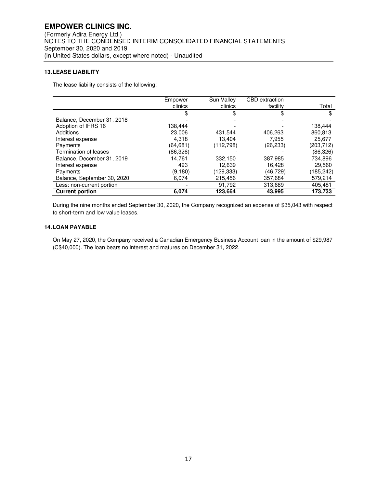## **13. LEASE LIABILITY**

The lease liability consists of the following:

|                             | Empower  | Sun Valley | CBD extraction |           |
|-----------------------------|----------|------------|----------------|-----------|
|                             | clinics  | clinics    | facility       | Total     |
|                             |          | \$         | \$             |           |
| Balance, December 31, 2018  |          |            |                |           |
| Adoption of IFRS 16         | 138.444  |            |                | 138,444   |
| Additions                   | 23,006   | 431.544    | 406,263        | 860,813   |
| Interest expense            | 4.318    | 13.404     | 7.955          | 25.677    |
| Payments                    | (64,681) | (112,798)  | (26,233)       | (203,712) |
| Termination of leases       | (86,326) |            |                | (86,326)  |
| Balance, December 31, 2019  | 14,761   | 332,150    | 387,985        | 734,896   |
| Interest expense            | 493      | 12.639     | 16.428         | 29,560    |
| Payments                    | (9,180)  | (129,333)  | (46,729)       | (185,242) |
| Balance, September 30, 2020 | 6.074    | 215.456    | 357.684        | 579,214   |
| Less: non-current portion   |          | 91,792     | 313,689        | 405,481   |
| <b>Current portion</b>      | 6,074    | 123,664    | 43.995         | 173,733   |

During the nine months ended September 30, 2020, the Company recognized an expense of \$35,043 with respect to short-term and low value leases.

## **14. LOAN PAYABLE**

On May 27, 2020, the Company received a Canadian Emergency Business Account loan in the amount of \$29,987 (C\$40,000). The loan bears no interest and matures on December 31, 2022.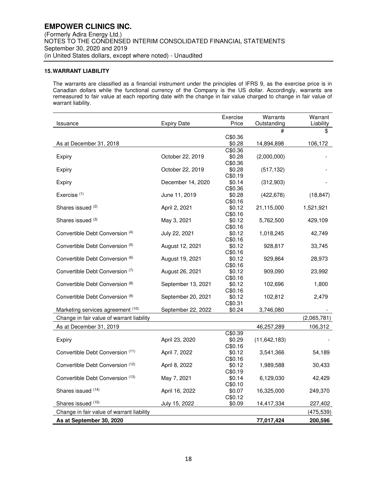## **15. WARRANT LIABILITY**

The warrants are classified as a financial instrument under the principles of IFRS 9, as the exercise price is in Canadian dollars while the functional currency of the Company is the US dollar. Accordingly, warrants are remeasured to fair value at each reporting date with the change in fair value charged to change in fair value of warrant liability.

| #<br>\$<br>C\$0.36<br>\$0.28<br>As at December 31, 2018<br>14,894,898<br>106,172<br>C\$0.36<br>\$0.28<br>October 22, 2019<br>(2,000,000)<br>Expiry<br>C\$0.36<br>October 22, 2019<br>\$0.28<br>(517, 132)<br>Expiry<br>C\$0.19<br>December 14, 2020<br>\$0.14<br>(312,903)<br>Expiry<br>C\$0.36<br>Exercise <sup>(1)</sup><br>June 11, 2019<br>\$0.28<br>(422, 678)<br>(18, 847)<br>C\$0.16<br>Shares issued (2)<br>April 2, 2021<br>\$0.12<br>21,115,000<br>1,521,921<br>C\$0.16<br>Shares issued (3)<br>May 3, 2021<br>\$0.12<br>429,109<br>5,762,500<br>C\$0.16<br>Convertible Debt Conversion (4)<br>July 22, 2021<br>\$0.12<br>1,018,245<br>42,749<br>C\$0.16<br>Convertible Debt Conversion (5)<br>August 12, 2021<br>\$0.12<br>928,817<br>33,745<br>C\$0.16<br>Convertible Debt Conversion (6)<br>\$0.12<br>August 19, 2021<br>929,864<br>28,973<br>C\$0.16<br>Convertible Debt Conversion (7)<br>August 26, 2021<br>\$0.12<br>909,090<br>23,992<br>C\$0.16<br>Convertible Debt Conversion (8)<br>September 13, 2021<br>\$0.12<br>102,696<br>1,800<br>C\$0.16<br>Convertible Debt Conversion (9)<br>September 20, 2021<br>\$0.12<br>102,812<br>2,479<br>C\$0.31<br>Marketing services agreement (10)<br>September 22, 2022<br>\$0.24<br>3,746,080<br>Change in fair value of warrant liability<br>(2,065,781)<br>As at December 31, 2019<br>46,257,289<br>106,312<br>C\$0.39<br>\$0.29<br>April 23, 2020<br>(11, 642, 183)<br>Expiry<br>C\$0.16<br>Convertible Debt Conversion (11)<br>April 7, 2022<br>\$0.12<br>3,541,366<br>54,189<br>C\$0.16<br>Convertible Debt Conversion (12)<br>\$0.12<br>April 8, 2022<br>1,989,588<br>30,433<br>C\$0.19<br>Convertible Debt Conversion (13)<br>May 7, 2021<br>\$0.14<br>6,129,030<br>42,429<br>C\$0.10 |                    |                    | Exercise | Warrants    | Warrant   |
|---------------------------------------------------------------------------------------------------------------------------------------------------------------------------------------------------------------------------------------------------------------------------------------------------------------------------------------------------------------------------------------------------------------------------------------------------------------------------------------------------------------------------------------------------------------------------------------------------------------------------------------------------------------------------------------------------------------------------------------------------------------------------------------------------------------------------------------------------------------------------------------------------------------------------------------------------------------------------------------------------------------------------------------------------------------------------------------------------------------------------------------------------------------------------------------------------------------------------------------------------------------------------------------------------------------------------------------------------------------------------------------------------------------------------------------------------------------------------------------------------------------------------------------------------------------------------------------------------------------------------------------------------------------------------------------------------------------------------------------------------------|--------------------|--------------------|----------|-------------|-----------|
|                                                                                                                                                                                                                                                                                                                                                                                                                                                                                                                                                                                                                                                                                                                                                                                                                                                                                                                                                                                                                                                                                                                                                                                                                                                                                                                                                                                                                                                                                                                                                                                                                                                                                                                                                         | <b>Issuance</b>    | <b>Expiry Date</b> | Price    | Outstanding | Liability |
|                                                                                                                                                                                                                                                                                                                                                                                                                                                                                                                                                                                                                                                                                                                                                                                                                                                                                                                                                                                                                                                                                                                                                                                                                                                                                                                                                                                                                                                                                                                                                                                                                                                                                                                                                         |                    |                    |          |             |           |
|                                                                                                                                                                                                                                                                                                                                                                                                                                                                                                                                                                                                                                                                                                                                                                                                                                                                                                                                                                                                                                                                                                                                                                                                                                                                                                                                                                                                                                                                                                                                                                                                                                                                                                                                                         |                    |                    |          |             |           |
|                                                                                                                                                                                                                                                                                                                                                                                                                                                                                                                                                                                                                                                                                                                                                                                                                                                                                                                                                                                                                                                                                                                                                                                                                                                                                                                                                                                                                                                                                                                                                                                                                                                                                                                                                         |                    |                    |          |             |           |
|                                                                                                                                                                                                                                                                                                                                                                                                                                                                                                                                                                                                                                                                                                                                                                                                                                                                                                                                                                                                                                                                                                                                                                                                                                                                                                                                                                                                                                                                                                                                                                                                                                                                                                                                                         |                    |                    |          |             |           |
|                                                                                                                                                                                                                                                                                                                                                                                                                                                                                                                                                                                                                                                                                                                                                                                                                                                                                                                                                                                                                                                                                                                                                                                                                                                                                                                                                                                                                                                                                                                                                                                                                                                                                                                                                         |                    |                    |          |             |           |
|                                                                                                                                                                                                                                                                                                                                                                                                                                                                                                                                                                                                                                                                                                                                                                                                                                                                                                                                                                                                                                                                                                                                                                                                                                                                                                                                                                                                                                                                                                                                                                                                                                                                                                                                                         |                    |                    |          |             |           |
|                                                                                                                                                                                                                                                                                                                                                                                                                                                                                                                                                                                                                                                                                                                                                                                                                                                                                                                                                                                                                                                                                                                                                                                                                                                                                                                                                                                                                                                                                                                                                                                                                                                                                                                                                         |                    |                    |          |             |           |
|                                                                                                                                                                                                                                                                                                                                                                                                                                                                                                                                                                                                                                                                                                                                                                                                                                                                                                                                                                                                                                                                                                                                                                                                                                                                                                                                                                                                                                                                                                                                                                                                                                                                                                                                                         |                    |                    |          |             |           |
|                                                                                                                                                                                                                                                                                                                                                                                                                                                                                                                                                                                                                                                                                                                                                                                                                                                                                                                                                                                                                                                                                                                                                                                                                                                                                                                                                                                                                                                                                                                                                                                                                                                                                                                                                         |                    |                    |          |             |           |
|                                                                                                                                                                                                                                                                                                                                                                                                                                                                                                                                                                                                                                                                                                                                                                                                                                                                                                                                                                                                                                                                                                                                                                                                                                                                                                                                                                                                                                                                                                                                                                                                                                                                                                                                                         |                    |                    |          |             |           |
|                                                                                                                                                                                                                                                                                                                                                                                                                                                                                                                                                                                                                                                                                                                                                                                                                                                                                                                                                                                                                                                                                                                                                                                                                                                                                                                                                                                                                                                                                                                                                                                                                                                                                                                                                         |                    |                    |          |             |           |
|                                                                                                                                                                                                                                                                                                                                                                                                                                                                                                                                                                                                                                                                                                                                                                                                                                                                                                                                                                                                                                                                                                                                                                                                                                                                                                                                                                                                                                                                                                                                                                                                                                                                                                                                                         |                    |                    |          |             |           |
|                                                                                                                                                                                                                                                                                                                                                                                                                                                                                                                                                                                                                                                                                                                                                                                                                                                                                                                                                                                                                                                                                                                                                                                                                                                                                                                                                                                                                                                                                                                                                                                                                                                                                                                                                         |                    |                    |          |             |           |
|                                                                                                                                                                                                                                                                                                                                                                                                                                                                                                                                                                                                                                                                                                                                                                                                                                                                                                                                                                                                                                                                                                                                                                                                                                                                                                                                                                                                                                                                                                                                                                                                                                                                                                                                                         |                    |                    |          |             |           |
|                                                                                                                                                                                                                                                                                                                                                                                                                                                                                                                                                                                                                                                                                                                                                                                                                                                                                                                                                                                                                                                                                                                                                                                                                                                                                                                                                                                                                                                                                                                                                                                                                                                                                                                                                         |                    |                    |          |             |           |
|                                                                                                                                                                                                                                                                                                                                                                                                                                                                                                                                                                                                                                                                                                                                                                                                                                                                                                                                                                                                                                                                                                                                                                                                                                                                                                                                                                                                                                                                                                                                                                                                                                                                                                                                                         |                    |                    |          |             |           |
|                                                                                                                                                                                                                                                                                                                                                                                                                                                                                                                                                                                                                                                                                                                                                                                                                                                                                                                                                                                                                                                                                                                                                                                                                                                                                                                                                                                                                                                                                                                                                                                                                                                                                                                                                         |                    |                    |          |             |           |
|                                                                                                                                                                                                                                                                                                                                                                                                                                                                                                                                                                                                                                                                                                                                                                                                                                                                                                                                                                                                                                                                                                                                                                                                                                                                                                                                                                                                                                                                                                                                                                                                                                                                                                                                                         |                    |                    |          |             |           |
|                                                                                                                                                                                                                                                                                                                                                                                                                                                                                                                                                                                                                                                                                                                                                                                                                                                                                                                                                                                                                                                                                                                                                                                                                                                                                                                                                                                                                                                                                                                                                                                                                                                                                                                                                         |                    |                    |          |             |           |
|                                                                                                                                                                                                                                                                                                                                                                                                                                                                                                                                                                                                                                                                                                                                                                                                                                                                                                                                                                                                                                                                                                                                                                                                                                                                                                                                                                                                                                                                                                                                                                                                                                                                                                                                                         |                    |                    |          |             |           |
|                                                                                                                                                                                                                                                                                                                                                                                                                                                                                                                                                                                                                                                                                                                                                                                                                                                                                                                                                                                                                                                                                                                                                                                                                                                                                                                                                                                                                                                                                                                                                                                                                                                                                                                                                         |                    |                    |          |             |           |
|                                                                                                                                                                                                                                                                                                                                                                                                                                                                                                                                                                                                                                                                                                                                                                                                                                                                                                                                                                                                                                                                                                                                                                                                                                                                                                                                                                                                                                                                                                                                                                                                                                                                                                                                                         |                    |                    |          |             |           |
|                                                                                                                                                                                                                                                                                                                                                                                                                                                                                                                                                                                                                                                                                                                                                                                                                                                                                                                                                                                                                                                                                                                                                                                                                                                                                                                                                                                                                                                                                                                                                                                                                                                                                                                                                         |                    |                    |          |             |           |
|                                                                                                                                                                                                                                                                                                                                                                                                                                                                                                                                                                                                                                                                                                                                                                                                                                                                                                                                                                                                                                                                                                                                                                                                                                                                                                                                                                                                                                                                                                                                                                                                                                                                                                                                                         |                    |                    |          |             |           |
|                                                                                                                                                                                                                                                                                                                                                                                                                                                                                                                                                                                                                                                                                                                                                                                                                                                                                                                                                                                                                                                                                                                                                                                                                                                                                                                                                                                                                                                                                                                                                                                                                                                                                                                                                         |                    |                    |          |             |           |
|                                                                                                                                                                                                                                                                                                                                                                                                                                                                                                                                                                                                                                                                                                                                                                                                                                                                                                                                                                                                                                                                                                                                                                                                                                                                                                                                                                                                                                                                                                                                                                                                                                                                                                                                                         |                    |                    |          |             |           |
|                                                                                                                                                                                                                                                                                                                                                                                                                                                                                                                                                                                                                                                                                                                                                                                                                                                                                                                                                                                                                                                                                                                                                                                                                                                                                                                                                                                                                                                                                                                                                                                                                                                                                                                                                         |                    |                    |          |             |           |
|                                                                                                                                                                                                                                                                                                                                                                                                                                                                                                                                                                                                                                                                                                                                                                                                                                                                                                                                                                                                                                                                                                                                                                                                                                                                                                                                                                                                                                                                                                                                                                                                                                                                                                                                                         |                    |                    |          |             |           |
|                                                                                                                                                                                                                                                                                                                                                                                                                                                                                                                                                                                                                                                                                                                                                                                                                                                                                                                                                                                                                                                                                                                                                                                                                                                                                                                                                                                                                                                                                                                                                                                                                                                                                                                                                         |                    |                    |          |             |           |
|                                                                                                                                                                                                                                                                                                                                                                                                                                                                                                                                                                                                                                                                                                                                                                                                                                                                                                                                                                                                                                                                                                                                                                                                                                                                                                                                                                                                                                                                                                                                                                                                                                                                                                                                                         |                    |                    |          |             |           |
|                                                                                                                                                                                                                                                                                                                                                                                                                                                                                                                                                                                                                                                                                                                                                                                                                                                                                                                                                                                                                                                                                                                                                                                                                                                                                                                                                                                                                                                                                                                                                                                                                                                                                                                                                         |                    |                    |          |             |           |
|                                                                                                                                                                                                                                                                                                                                                                                                                                                                                                                                                                                                                                                                                                                                                                                                                                                                                                                                                                                                                                                                                                                                                                                                                                                                                                                                                                                                                                                                                                                                                                                                                                                                                                                                                         |                    |                    |          |             |           |
|                                                                                                                                                                                                                                                                                                                                                                                                                                                                                                                                                                                                                                                                                                                                                                                                                                                                                                                                                                                                                                                                                                                                                                                                                                                                                                                                                                                                                                                                                                                                                                                                                                                                                                                                                         |                    |                    |          |             |           |
|                                                                                                                                                                                                                                                                                                                                                                                                                                                                                                                                                                                                                                                                                                                                                                                                                                                                                                                                                                                                                                                                                                                                                                                                                                                                                                                                                                                                                                                                                                                                                                                                                                                                                                                                                         |                    |                    |          |             |           |
|                                                                                                                                                                                                                                                                                                                                                                                                                                                                                                                                                                                                                                                                                                                                                                                                                                                                                                                                                                                                                                                                                                                                                                                                                                                                                                                                                                                                                                                                                                                                                                                                                                                                                                                                                         |                    |                    |          |             |           |
|                                                                                                                                                                                                                                                                                                                                                                                                                                                                                                                                                                                                                                                                                                                                                                                                                                                                                                                                                                                                                                                                                                                                                                                                                                                                                                                                                                                                                                                                                                                                                                                                                                                                                                                                                         |                    |                    |          |             |           |
|                                                                                                                                                                                                                                                                                                                                                                                                                                                                                                                                                                                                                                                                                                                                                                                                                                                                                                                                                                                                                                                                                                                                                                                                                                                                                                                                                                                                                                                                                                                                                                                                                                                                                                                                                         |                    |                    |          |             |           |
|                                                                                                                                                                                                                                                                                                                                                                                                                                                                                                                                                                                                                                                                                                                                                                                                                                                                                                                                                                                                                                                                                                                                                                                                                                                                                                                                                                                                                                                                                                                                                                                                                                                                                                                                                         | Shares issued (14) | April 16, 2022     | \$0.07   | 16,325,000  | 249,370   |
| C\$0.12                                                                                                                                                                                                                                                                                                                                                                                                                                                                                                                                                                                                                                                                                                                                                                                                                                                                                                                                                                                                                                                                                                                                                                                                                                                                                                                                                                                                                                                                                                                                                                                                                                                                                                                                                 |                    |                    |          |             |           |
| Shares issued (15)<br>July 15, 2022<br>\$0.09<br>14,417,334<br>227,402                                                                                                                                                                                                                                                                                                                                                                                                                                                                                                                                                                                                                                                                                                                                                                                                                                                                                                                                                                                                                                                                                                                                                                                                                                                                                                                                                                                                                                                                                                                                                                                                                                                                                  |                    |                    |          |             |           |
| Change in fair value of warrant liability<br>(475, 539)                                                                                                                                                                                                                                                                                                                                                                                                                                                                                                                                                                                                                                                                                                                                                                                                                                                                                                                                                                                                                                                                                                                                                                                                                                                                                                                                                                                                                                                                                                                                                                                                                                                                                                 |                    |                    |          |             |           |
| As at September 30, 2020<br>77,017,424<br>200,596                                                                                                                                                                                                                                                                                                                                                                                                                                                                                                                                                                                                                                                                                                                                                                                                                                                                                                                                                                                                                                                                                                                                                                                                                                                                                                                                                                                                                                                                                                                                                                                                                                                                                                       |                    |                    |          |             |           |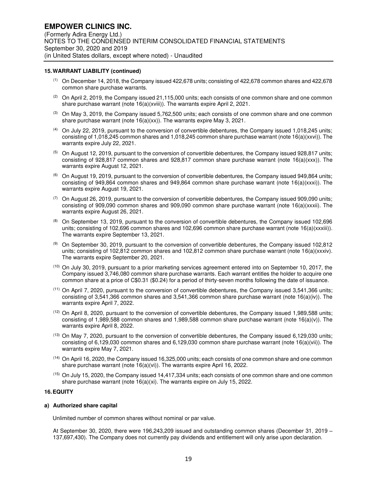#### **15. WARRANT LIABILITY (continued)**

- (1) On December 14, 2018, the Company issued 422,678 units; consisting of 422,678 common shares and 422,678 common share purchase warrants.
- $(2)$  On April 2, 2019, the Company issued 21,115,000 units; each consists of one common share and one common share purchase warrant (note 16(a)(xviii)). The warrants expire April 2, 2021.
- $(3)$  On May 3, 2019, the Company issued 5,762,500 units; each consists of one common share and one common share purchase warrant (note 16(a)(xx)). The warrants expire May 3, 2021.
- (4) On July 22, 2019, pursuant to the conversion of convertible debentures, the Company issued 1,018,245 units; consisting of 1,018,245 common shares and 1,018,245 common share purchase warrant (note 16(a)(xxvi)). The warrants expire July 22, 2021.
- (5) On August 12, 2019, pursuant to the conversion of convertible debentures, the Company issued 928,817 units; consisting of 928,817 common shares and 928,817 common share purchase warrant (note 16(a)(xxx)). The warrants expire August 12, 2021.
- $(6)$  On August 19, 2019, pursuant to the conversion of convertible debentures, the Company issued 949,864 units; consisting of 949,864 common shares and 949,864 common share purchase warrant (note 16(a)(xxxi)). The warrants expire August 19, 2021.
- $(7)$  On August 26, 2019, pursuant to the conversion of convertible debentures, the Company issued 909,090 units; consisting of 909,090 common shares and 909,090 common share purchase warrant (note 16(a)(xxxii). The warrants expire August 26, 2021.
- $(8)$  On September 13, 2019, pursuant to the conversion of convertible debentures, the Company issued 102,696 units; consisting of 102,696 common shares and 102,696 common share purchase warrant (note 16(a)(xxxiii)). The warrants expire September 13, 2021.
- (9) On September 30, 2019, pursuant to the conversion of convertible debentures, the Company issued 102,812 units; consisting of 102,812 common shares and 102,812 common share purchase warrant (note 16(a)(xxxiv). The warrants expire September 20, 2021.
- (10) On July 30, 2019, pursuant to a prior marketing services agreement entered into on September 10, 2017, the Company issued 3,746,080 common share purchase warrants. Each warrant entitles the holder to acquire one common share at a price of C\$0.31 (\$0.24) for a period of thirty-seven months following the date of issuance.
- (11) On April 7, 2020, pursuant to the conversion of convertible debentures, the Company issued 3,541,366 units; consisting of 3,541,366 common shares and 3,541,366 common share purchase warrant (note 16(a)(iv)). The warrants expire April 7, 2022.
- (12) On April 8, 2020, pursuant to the conversion of convertible debentures, the Company issued 1,989,588 units; consisting of 1,989,588 common shares and 1,989,588 common share purchase warrant (note 16(a)(v)). The warrants expire April 8, 2022.
- (13) On May 7, 2020, pursuant to the conversion of convertible debentures, the Company issued 6,129,030 units; consisting of 6,129,030 common shares and 6,129,030 common share purchase warrant (note 16(a)(vii)). The warrants expire May 7, 2021.
- (14) On April 16, 2020, the Company issued 16,325,000 units; each consists of one common share and one common share purchase warrant (note 16(a)(vi)). The warrants expire April 16, 2022.
- (15) On July 15, 2020, the Company issued 14,417,334 units; each consists of one common share and one common share purchase warrant (note 16(a)(xi). The warrants expire on July 15, 2022.

#### **16. EQUITY**

#### **a) Authorized share capital**

Unlimited number of common shares without nominal or par value.

At September 30, 2020, there were 196,243,209 issued and outstanding common shares (December 31, 2019 – 137,697,430). The Company does not currently pay dividends and entitlement will only arise upon declaration.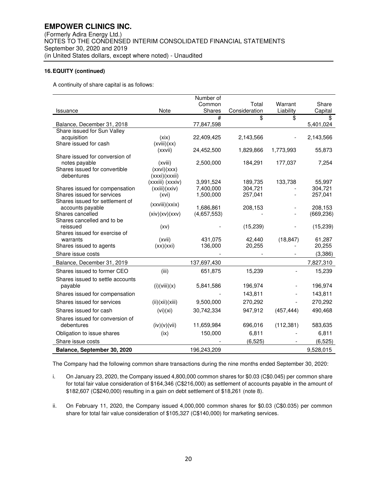A continuity of share capital is as follows:

|                                                 |                  | Number of   |                        |                 |               |
|-------------------------------------------------|------------------|-------------|------------------------|-----------------|---------------|
|                                                 | <b>Note</b>      | Common      | Total<br>Consideration | Warrant         | Share         |
| Issuance                                        |                  | Shares<br># | \$                     | Liability<br>\$ | Capital<br>\$ |
| Balance, December 31, 2018                      |                  | 77,847,598  |                        |                 | 5,401,024     |
| Share issued for Sun Valley                     |                  |             |                        |                 |               |
| acquisition                                     | (xix)            | 22,409,425  | 2,143,566              |                 | 2,143,566     |
| Share issued for cash                           | (xviii)(xx)      |             |                        |                 |               |
|                                                 | (xxvii)          | 24,452,500  | 1,829,866              | 1,773,993       | 55,873        |
| Share issued for conversion of<br>notes payable | (xviii)          | 2,500,000   | 184,291                | 177,037         | 7,254         |
| Shares issued for convertible                   | (xxvi)(xxx)      |             |                        |                 |               |
| debentures                                      | (xxxi)(xxxii)    |             |                        |                 |               |
|                                                 | (xxxiii) (xxxiv) | 3,991,524   | 189,735                | 133,738         | 55,997        |
| Shares issued for compensation                  | (xxiii)(xxiv)    | 7,400,000   | 304,721                |                 | 304,721       |
| Shares issued for services                      | (xvi)            | 1,500,000   | 257,041                |                 | 257,041       |
| Shares issued for settlement of                 | (xxviii)(xxix)   |             |                        |                 |               |
| accounts payable                                |                  | 1,686,861   | 208,153                |                 | 208,153       |
| Shares cancelled                                | (xiv)(xv)(xxx)   | (4,657,553) |                        |                 | (669, 236)    |
| Shares cancelled and to be<br>reissued          | (xv)             |             | (15, 239)              |                 | (15, 239)     |
| Shares issued for exercise of                   |                  |             |                        |                 |               |
| warrants                                        | (xvii)           | 431,075     | 42,440                 | (18, 847)       | 61,287        |
| Shares issued to agents                         | (xx)(xxi)        | 136,000     | 20,255                 |                 | 20,255        |
| Share issue costs                               |                  |             |                        |                 | (3,386)       |
| Balance, December 31, 2019                      |                  | 137,697,430 |                        |                 | 7,827,310     |
| Shares issued to former CEO                     | (iii)            | 651,875     | 15,239                 |                 | 15,239        |
| Shares issued to settle accounts                |                  |             |                        |                 |               |
| payable                                         | (i)(viii)(x)     | 5,841,586   | 196,974                |                 | 196,974       |
| Shares issued for compensation                  |                  |             | 143,811                |                 | 143,811       |
| Shares issued for services                      | (ii)(xii)(xiii)  | 9,500,000   | 270,292                |                 | 270,292       |
| Shares issued for cash                          | (vi)(xi)         | 30,742,334  | 947,912                | (457, 444)      | 490,468       |
| Shares issued for conversion of                 |                  |             |                        |                 |               |
| debentures                                      | (iv)(v)(vii)     | 11,659,984  | 696,016                | (112, 381)      | 583,635       |
| Obligation to issue shares                      | (ix)             | 150,000     | 6,811                  |                 | 6,811         |
| Share issue costs                               |                  |             | (6, 525)               |                 | (6, 525)      |
| Balance, September 30, 2020                     |                  | 196,243,209 |                        |                 | 9,528,015     |

The Company had the following common share transactions during the nine months ended September 30, 2020:

- i. On January 23, 2020, the Company issued 4,800,000 common shares for \$0.03 (C\$0.045) per common share for total fair value consideration of \$164,346 (C\$216,000) as settlement of accounts payable in the amount of \$182,607 (C\$240,000) resulting in a gain on debt settlement of \$18,261 (note 8).
- ii. On February 11, 2020, the Company issued 4,000,000 common shares for \$0.03 (C\$0.035) per common share for total fair value consideration of \$105,327 (C\$140,000) for marketing services.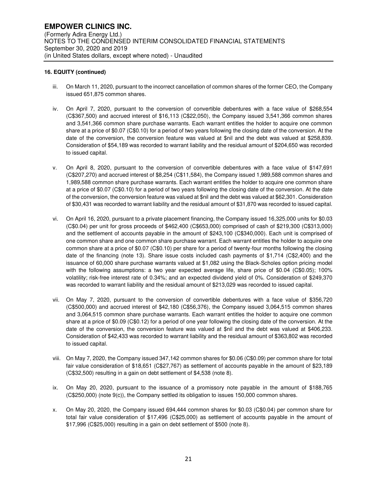- iii. On March 11, 2020, pursuant to the incorrect cancellation of common shares of the former CEO, the Company issued 651,875 common shares.
- iv. On April 7, 2020, pursuant to the conversion of convertible debentures with a face value of \$268,554 (C\$367,500) and accrued interest of \$16,113 (C\$22,050), the Company issued 3,541,366 common shares and 3,541,366 common share purchase warrants. Each warrant entitles the holder to acquire one common share at a price of \$0.07 (C\$0.10) for a period of two years following the closing date of the conversion. At the date of the conversion, the conversion feature was valued at \$nil and the debt was valued at \$258,839. Consideration of \$54,189 was recorded to warrant liability and the residual amount of \$204,650 was recorded to issued capital.
- v. On April 8, 2020, pursuant to the conversion of convertible debentures with a face value of \$147,691 (C\$207,270) and accrued interest of \$8,254 (C\$11,584), the Company issued 1,989,588 common shares and 1,989,588 common share purchase warrants. Each warrant entitles the holder to acquire one common share at a price of \$0.07 (C\$0.10) for a period of two years following the closing date of the conversion. At the date of the conversion, the conversion feature was valued at \$nil and the debt was valued at \$62,301. Consideration of \$30,431 was recorded to warrant liability and the residual amount of \$31,870 was recorded to issued capital.
- vi. On April 16, 2020, pursuant to a private placement financing, the Company issued 16,325,000 units for \$0.03 (C\$0.04) per unit for gross proceeds of \$462,400 (C\$653,000) comprised of cash of \$219,300 (C\$313,000) and the settlement of accounts payable in the amount of \$243,100 (C\$340,000). Each unit is comprised of one common share and one common share purchase warrant. Each warrant entitles the holder to acquire one common share at a price of \$0.07 (C\$0.10) per share for a period of twenty-four months following the closing date of the financing (note 13). Share issue costs included cash payments of \$1,714 (C\$2,400) and the issuance of 60,000 share purchase warrants valued at \$1,082 using the Black-Scholes option pricing model with the following assumptions: a two year expected average life, share price of \$0.04 (C\$0.05); 100% volatility; risk-free interest rate of 0.34%; and an expected dividend yield of 0%. Consideration of \$249,370 was recorded to warrant liability and the residual amount of \$213,029 was recorded to issued capital.
- vii. On May 7, 2020, pursuant to the conversion of convertible debentures with a face value of \$356,720 (C\$500,000) and accrued interest of \$42,180 (C\$56,376), the Company issued 3,064,515 common shares and 3,064,515 common share purchase warrants. Each warrant entitles the holder to acquire one common share at a price of \$0.09 (C\$0.12) for a period of one year following the closing date of the conversion. At the date of the conversion, the conversion feature was valued at \$nil and the debt was valued at \$406,233. Consideration of \$42,433 was recorded to warrant liability and the residual amount of \$363,802 was recorded to issued capital.
- viii. On May 7, 2020, the Company issued 347,142 common shares for \$0.06 (C\$0.09) per common share for total fair value consideration of \$18,651 (C\$27,767) as settlement of accounts payable in the amount of \$23,189 (C\$32,500) resulting in a gain on debt settlement of \$4,538 (note 8).
- ix. On May 20, 2020, pursuant to the issuance of a promissory note payable in the amount of \$188,765 (C\$250,000) (note 9(c)), the Company settled its obligation to issues 150,000 common shares.
- x. On May 20, 2020, the Company issued 694,444 common shares for \$0.03 (C\$0.04) per common share for total fair value consideration of \$17,496 (C\$25,000) as settlement of accounts payable in the amount of \$17,996 (C\$25,000) resulting in a gain on debt settlement of \$500 (note 8).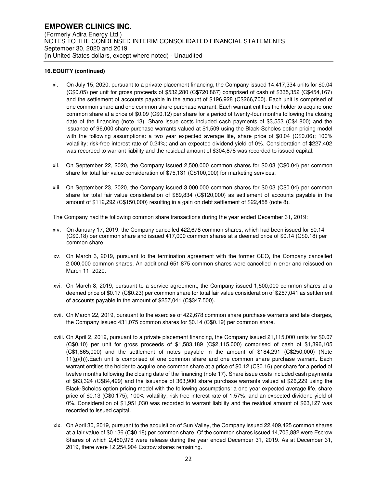- xi. On July 15, 2020, pursuant to a private placement financing, the Company issued 14,417,334 units for \$0.04 (C\$0.05) per unit for gross proceeds of \$532,280 (C\$720,867) comprised of cash of \$335,352 (C\$454,167) and the settlement of accounts payable in the amount of \$196,928 (C\$266,700). Each unit is comprised of one common share and one common share purchase warrant. Each warrant entitles the holder to acquire one common share at a price of \$0.09 (C\$0.12) per share for a period of twenty-four months following the closing date of the financing (note 13). Share issue costs included cash payments of \$3,553 (C\$4,800) and the issuance of 96,000 share purchase warrants valued at \$1,509 using the Black-Scholes option pricing model with the following assumptions: a two year expected average life, share price of \$0.04 (C\$0.06); 100% volatility; risk-free interest rate of 0.24%; and an expected dividend yield of 0%. Consideration of \$227,402 was recorded to warrant liability and the residual amount of \$304,878 was recorded to issued capital.
- xii. On September 22, 2020, the Company issued 2,500,000 common shares for \$0.03 (C\$0.04) per common share for total fair value consideration of \$75,131 (C\$100,000) for marketing services.
- xiii. On September 23, 2020, the Company issued 3,000,000 common shares for \$0.03 (C\$0.04) per common share for total fair value consideration of \$89,834 (C\$120,000) as settlement of accounts payable in the amount of \$112,292 (C\$150,000) resulting in a gain on debt settlement of \$22,458 (note 8).

The Company had the following common share transactions during the year ended December 31, 2019:

- xiv. On January 17, 2019, the Company cancelled 422,678 common shares, which had been issued for \$0.14 (C\$0.18) per common share and issued 417,000 common shares at a deemed price of \$0.14 (C\$0.18) per common share.
- xv. On March 3, 2019, pursuant to the termination agreement with the former CEO, the Company cancelled 2,000,000 common shares. An additional 651,875 common shares were cancelled in error and reissued on March 11, 2020.
- xvi. On March 8, 2019, pursuant to a service agreement, the Company issued 1,500,000 common shares at a deemed price of \$0.17 (C\$0.23) per common share for total fair value consideration of \$257,041 as settlement of accounts payable in the amount of \$257,041 (C\$347,500).
- xvii. On March 22, 2019, pursuant to the exercise of 422,678 common share purchase warrants and late charges, the Company issued 431,075 common shares for \$0.14 (C\$0.19) per common share.
- xviii. On April 2, 2019, pursuant to a private placement financing, the Company issued 21,115,000 units for \$0.07 (C\$0.10) per unit for gross proceeds of \$1,583,189 (C\$2,115,000) comprised of cash of \$1,396,105 (C\$1,865,000) and the settlement of notes payable in the amount of \$184,291 (C\$250,000) (Note 11(g)(h)).Each unit is comprised of one common share and one common share purchase warrant. Each warrant entitles the holder to acquire one common share at a price of \$0.12 (C\$0.16) per share for a period of twelve months following the closing date of the financing (note 17). Share issue costs included cash payments of \$63,324 (C\$84,499) and the issuance of 363,900 share purchase warrants valued at \$26,229 using the Black-Scholes option pricing model with the following assumptions: a one year expected average life, share price of \$0.13 (C\$0.175); 100% volatility; risk-free interest rate of 1.57%; and an expected dividend yield of 0%. Consideration of \$1,951,030 was recorded to warrant liability and the residual amount of \$63,127 was recorded to issued capital.
- xix. On April 30, 2019, pursuant to the acquisition of Sun Valley, the Company issued 22,409,425 common shares at a fair value of \$0.136 (C\$0.18) per common share. Of the common shares issued 14,705,882 were Escrow Shares of which 2,450,978 were release during the year ended December 31, 2019. As at December 31, 2019, there were 12,254,904 Escrow shares remaining.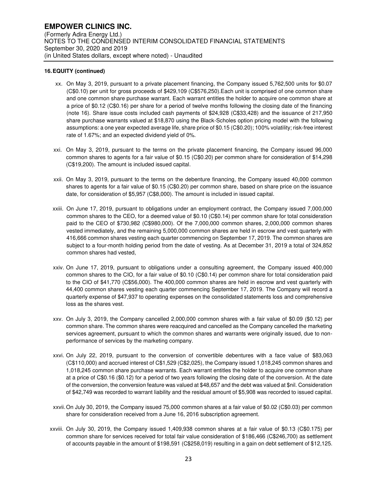- xx. On May 3, 2019, pursuant to a private placement financing, the Company issued 5,762,500 units for \$0.07 (C\$0.10) per unit for gross proceeds of \$429,109 (C\$576,250).Each unit is comprised of one common share and one common share purchase warrant. Each warrant entitles the holder to acquire one common share at a price of \$0.12 (C\$0.16) per share for a period of twelve months following the closing date of the financing (note 16). Share issue costs included cash payments of \$24,928 (C\$33,428) and the issuance of 217,950 share purchase warrants valued at \$18,870 using the Black-Scholes option pricing model with the following assumptions: a one year expected average life, share price of \$0.15 (C\$0.20); 100% volatility; risk-free interest rate of 1.67%; and an expected dividend yield of 0%.
- xxi. On May 3, 2019, pursuant to the terms on the private placement financing, the Company issued 96,000 common shares to agents for a fair value of \$0.15 (C\$0.20) per common share for consideration of \$14,298 (C\$19,200). The amount is included issued capital.
- xxii. On May 3, 2019, pursuant to the terms on the debenture financing, the Company issued 40,000 common shares to agents for a fair value of \$0.15 (C\$0.20) per common share, based on share price on the issuance date, for consideration of \$5,957 (C\$8,000). The amount is included in issued capital.
- xxiii. On June 17, 2019, pursuant to obligations under an employment contract, the Company issued 7,000,000 common shares to the CEO, for a deemed value of \$0.10 (C\$0.14) per common share for total consideration paid to the CEO of \$730,982 (C\$980,000). Of the 7,000,000 common shares, 2,000,000 common shares vested immediately, and the remaining 5,000,000 common shares are held in escrow and vest quarterly with 416,666 common shares vesting each quarter commencing on September 17, 2019. The common shares are subject to a four-month holding period from the date of vesting. As at December 31, 2019 a total of 324,852 common shares had vested,
- xxiv. On June 17, 2019, pursuant to obligations under a consulting agreement, the Company issued 400,000 common shares to the CIO, for a fair value of \$0.10 (C\$0.14) per common share for total consideration paid to the CIO of \$41,770 (C\$56,000). The 400,000 common shares are held in escrow and vest quarterly with 44,400 common shares vesting each quarter commencing September 17, 2019. The Company will record a quarterly expense of \$47,937 to operating expenses on the consolidated statements loss and comprehensive loss as the shares vest.
- xxv. On July 3, 2019, the Company cancelled 2,000,000 common shares with a fair value of \$0.09 (\$0.12) per common share. The common shares were reacquired and cancelled as the Company cancelled the marketing services agreement, pursuant to which the common shares and warrants were originally issued, due to nonperformance of services by the marketing company.
- xxvi. On July 22, 2019, pursuant to the conversion of convertible debentures with a face value of \$83,063 (C\$110,000) and accrued interest of C\$1,529 (C\$2,025), the Company issued 1,018,245 common shares and 1,018,245 common share purchase warrants. Each warrant entitles the holder to acquire one common share at a price of C\$0.16 (\$0.12) for a period of two years following the closing date of the conversion. At the date of the conversion, the conversion feature was valued at \$48,657 and the debt was valued at \$nil. Consideration of \$42,749 was recorded to warrant liability and the residual amount of \$5,908 was recorded to issued capital.
- xxvii. On July 30, 2019, the Company issued 75,000 common shares at a fair value of \$0.02 (C\$0.03) per common share for consideration received from a June 16, 2016 subscription agreement.
- xxviii. On July 30, 2019, the Company issued 1,409,938 common shares at a fair value of \$0.13 (C\$0.175) per common share for services received for total fair value consideration of \$186,466 (C\$246,700) as settlement of accounts payable in the amount of \$198,591 (C\$258,019) resulting in a gain on debt settlement of \$12,125.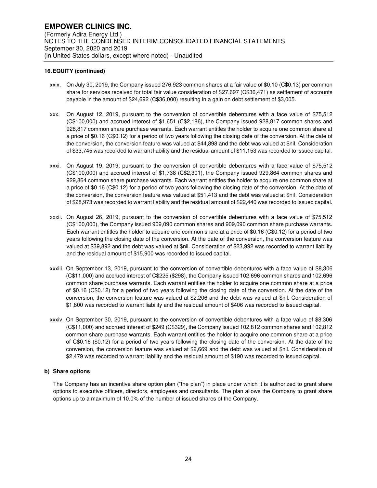- xxix. On July 30, 2019, the Company issued 276,923 common shares at a fair value of \$0.10 (C\$0.13) per common share for services received for total fair value consideration of \$27,697 (C\$36,471) as settlement of accounts payable in the amount of \$24,692 (C\$36,000) resulting in a gain on debt settlement of \$3,005.
- xxx. On August 12, 2019, pursuant to the conversion of convertible debentures with a face value of \$75,512 (C\$100,000) and accrued interest of \$1,651 (C\$2,186), the Company issued 928,817 common shares and 928,817 common share purchase warrants. Each warrant entitles the holder to acquire one common share at a price of \$0.16 (C\$0.12) for a period of two years following the closing date of the conversion. At the date of the conversion, the conversion feature was valued at \$44,898 and the debt was valued at \$nil. Consideration of \$33,745 was recorded to warrant liability and the residual amount of \$11,153 was recorded to issued capital.
- xxxi. On August 19, 2019, pursuant to the conversion of convertible debentures with a face value of \$75,512 (C\$100,000) and accrued interest of \$1,738 (C\$2,301), the Company issued 929,864 common shares and 929,864 common share purchase warrants. Each warrant entitles the holder to acquire one common share at a price of \$0.16 (C\$0.12) for a period of two years following the closing date of the conversion. At the date of the conversion, the conversion feature was valued at \$51,413 and the debt was valued at \$nil. Consideration of \$28,973 was recorded to warrant liability and the residual amount of \$22,440 was recorded to issued capital.
- xxxii. On August 26, 2019, pursuant to the conversion of convertible debentures with a face value of \$75,512 (C\$100,000), the Company issued 909,090 common shares and 909,090 common share purchase warrants. Each warrant entitles the holder to acquire one common share at a price of \$0.16 (C\$0.12) for a period of two years following the closing date of the conversion. At the date of the conversion, the conversion feature was valued at \$39,892 and the debt was valued at \$nil. Consideration of \$23,992 was recorded to warrant liability and the residual amount of \$15,900 was recorded to issued capital.
- xxxiii. On September 13, 2019, pursuant to the conversion of convertible debentures with a face value of \$8,306 (C\$11,000) and accrued interest of C\$225 (\$298), the Company issued 102,696 common shares and 102,696 common share purchase warrants. Each warrant entitles the holder to acquire one common share at a price of \$0.16 (C\$0.12) for a period of two years following the closing date of the conversion. At the date of the conversion, the conversion feature was valued at \$2,206 and the debt was valued at \$nil. Consideration of \$1,800 was recorded to warrant liability and the residual amount of \$406 was recorded to issued capital.
- xxxiv. On September 30, 2019, pursuant to the conversion of convertible debentures with a face value of \$8,306 (C\$11,000) and accrued interest of \$249 (C\$329), the Company issued 102,812 common shares and 102,812 common share purchase warrants. Each warrant entitles the holder to acquire one common share at a price of C\$0.16 (\$0.12) for a period of two years following the closing date of the conversion. At the date of the conversion, the conversion feature was valued at \$2,669 and the debt was valued at \$nil. Consideration of \$2,479 was recorded to warrant liability and the residual amount of \$190 was recorded to issued capital.

## **b) Share options**

The Company has an incentive share option plan ("the plan") in place under which it is authorized to grant share options to executive officers, directors, employees and consultants. The plan allows the Company to grant share options up to a maximum of 10.0% of the number of issued shares of the Company.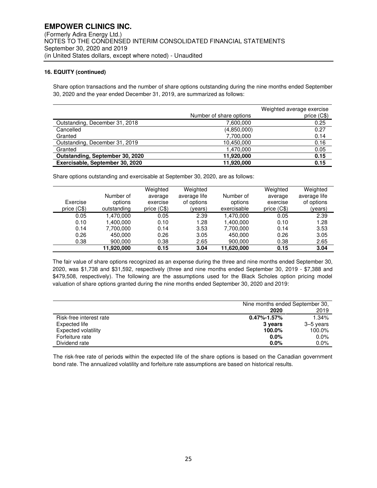Share option transactions and the number of share options outstanding during the nine months ended September 30, 2020 and the year ended December 31, 2019, are summarized as follows:

|                                 | Number of share options | Weighted average exercise<br>price (C\$) |
|---------------------------------|-------------------------|------------------------------------------|
| Outstanding, December 31, 2018  | 7,600,000               | 0.25                                     |
| Cancelled                       | (4,850,000)             | 0.27                                     |
| Granted                         | 7,700,000               | 0.14                                     |
| Outstanding, December 31, 2019  | 10,450,000              | 0.16                                     |
| Granted                         | 1,470,000               | 0.05                                     |
| Outstanding, September 30, 2020 | 11,920,000              | 0.15                                     |
| Exercisable, September 30, 2020 | 11.920.000              | 0.15                                     |

Share options outstanding and exercisable at September 30, 2020, are as follows:

| Exercise<br>price $(C$)$ | Number of<br>options<br>outstanding | Weighted<br>average<br>exercise<br>price $(C$)$ | Weighted<br>average life<br>of options<br>(years) | Number of<br>options<br>exercisable | Weighted<br>average<br>exercise<br>price $(C$)$ | Weighted<br>average life<br>of options<br>(years) |
|--------------------------|-------------------------------------|-------------------------------------------------|---------------------------------------------------|-------------------------------------|-------------------------------------------------|---------------------------------------------------|
| 0.05                     | .470.000                            | 0.05                                            | 2.39                                              | 1.470.000                           | 0.05                                            | 2.39                                              |
| 0.10                     | .400.000                            | 0.10                                            | 1.28                                              | 1.400.000                           | 0.10                                            | 1.28                                              |
| 0.14                     | 7.700.000                           | 0.14                                            | 3.53                                              | 7,700,000                           | 0.14                                            | 3.53                                              |
| 0.26                     | 450.000                             | 0.26                                            | 3.05                                              | 450.000                             | 0.26                                            | 3.05                                              |
| 0.38                     | 900.000                             | 0.38                                            | 2.65                                              | 900.000                             | 0.38                                            | 2.65                                              |
|                          | 11,920,000                          | 0.15                                            | 3.04                                              | 11,620,000                          | 0.15                                            | 3.04                                              |

The fair value of share options recognized as an expense during the three and nine months ended September 30, 2020, was \$1,738 and \$31,592, respectively (three and nine months ended September 30, 2019 - \$7,388 and \$479,508, respectively). The following are the assumptions used for the Black Scholes option pricing model valuation of share options granted during the nine months ended September 30, 2020 and 2019:

|                         | Nine months ended September 30, |           |
|-------------------------|---------------------------------|-----------|
|                         | 2020                            | 2019      |
| Risk-free interest rate | $0.47\% - 1.57\%$               | 1.34%     |
| Expected life           | 3 years                         | 3–5 years |
| Expected volatility     | 100.0%                          | 100.0%    |
| Forfeiture rate         | $0.0\%$                         | $0.0\%$   |
| Dividend rate           | $0.0\%$                         | 0.0%      |

The risk-free rate of periods within the expected life of the share options is based on the Canadian government bond rate. The annualized volatility and forfeiture rate assumptions are based on historical results.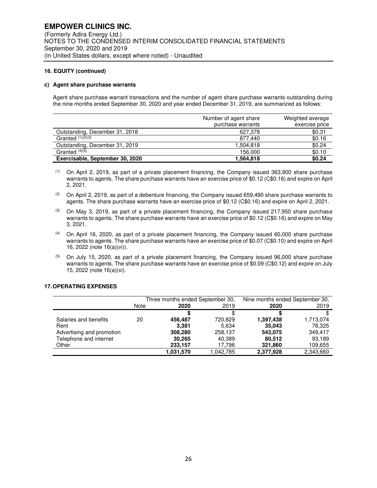#### **c) Agent share purchase warrants**

Agent share purchase warrant transactions and the number of agent share purchase warrants outstanding during the nine months ended September 30, 2020 and year ended December 31, 2019, are summarized as follows:

|                                 | Number of agent share | Weighted average |
|---------------------------------|-----------------------|------------------|
|                                 | purchase warrants     | exercise price   |
| Outstanding, December 31, 2018  | 627.378               | \$0.31           |
| Granted $\sqrt{(1)(2)(3)}$      | 877.440               | \$0.16           |
| Outstanding, December 31, 2019  | 1,504,818             | \$0.24           |
| Granted $(4)\overline{(5)}$     | 156.000               | \$0.10           |
| Exercisable, September 30, 2020 | 1,564,818             | \$0.24           |

- $(1)$  On April 2, 2019, as part of a private placement financing, the Company issued 363,900 share purchase warrants to agents. The share purchase warrants have an exercise price of \$0.12 (C\$0.16) and expire on April 2, 2021.
- $(2)$  On April 2, 2019, as part of a debenture financing, the Company issued 659,490 share purchase warrants to agents. The share purchase warrants have an exercise price of \$0.12 (C\$0.16) and expire on April 2, 2021.
- $^{(3)}$  On May 3, 2019, as part of a private placement financing, the Company issued 217,950 share purchase warrants to agents. The share purchase warrants have an exercise price of \$0.12 (C\$0.16) and expire on May 3, 2021.
- $(4)$  On April 16, 2020, as part of a private placement financing, the Company issued 60,000 share purchase warrants to agents. The share purchase warrants have an exercise price of \$0.07 (C\$0.10) and expire on April 16, 2022 (note 16(a)(vi)).
- $(5)$  On July 15, 2020, as part of a private placement financing, the Company issued 96,000 share purchase warrants to agents. The share purchase warrants have an exercise price of \$0.09 (C\$0.12) and expire on July 15, 2022 (note 16(a)(xi).

#### **17. OPERATING EXPENSES**

|                           |      | Three months ended September 30, |           | Nine months ended September 30, |           |
|---------------------------|------|----------------------------------|-----------|---------------------------------|-----------|
|                           | Note | 2020                             | 2019      | 2020                            | 2019      |
|                           |      |                                  | S         |                                 |           |
| Salaries and benefits     | 20   | 456.487                          | 720,829   | 1,397,438                       | 1,713,074 |
| Rent                      |      | 3.381                            | 5.634     | 35,043                          | 78,325    |
| Advertising and promotion |      | 308,280                          | 258.137   | 543.075                         | 349.417   |
| Telephone and internet    |      | 30.265                           | 40,389    | 80,512                          | 93,189    |
| Other                     |      | 233,157                          | 17,796    | 321,860                         | 109,655   |
|                           |      | 1,031,570                        | 1,042,785 | 2,377,928                       | 2.343.660 |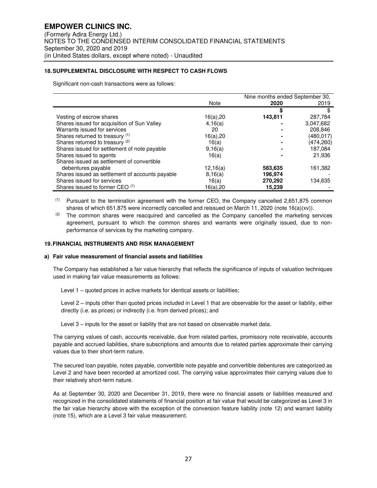### **18. SUPPLEMENTAL DISCLOSURE WITH RESPECT TO CASH FLOWS**

Significant non-cash transactions were as follows:

|                                                 | Nine months ended September 30, |         |           |
|-------------------------------------------------|---------------------------------|---------|-----------|
|                                                 | Note                            | 2020    | 2019      |
|                                                 |                                 | \$      |           |
| Vesting of escrow shares                        | 16(a),20                        | 143.811 | 287,784   |
| Shares issued for acquisition of Sun Valley     | 4,16(a)                         |         | 3,047,682 |
| Warrants issued for services                    | 20                              |         | 208.846   |
| Shares returned to treasury (1)                 | 16(a), 20                       |         | (480,017) |
| Shares returned to treasury (2)                 | 16(a)                           |         | (474,260) |
| Shares issued for settlement of note payable    | 9,16(a)                         |         | 187,084   |
| Shares issued to agents                         | 16(a)                           |         | 21,936    |
| Shares issued as settlement of convertible      |                                 |         |           |
| debentures payable                              | 12,16(a)                        | 583.635 | 161,382   |
| Shares issued as settlement of accounts payable | 8,16(a)                         | 196,974 |           |
| Shares issued for services                      | 16(a)                           | 270,292 | 134,635   |
| Shares issued to former CEO (1)                 | 16(a),20                        | 15,239  |           |

(1) Pursuant to the termination agreement with the former CEO, the Company cancelled 2,651,875 common shares of which 651,875 were incorrectly cancelled and reissued on March 11, 2020 (note 16(a)(xv)).

 $(2)$  The common shares were reacquired and cancelled as the Company cancelled the marketing services agreement, pursuant to which the common shares and warrants were originally issued, due to nonperformance of services by the marketing company.

#### **19. FINANCIAL INSTRUMENTS AND RISK MANAGEMENT**

#### **a) Fair value measurement of financial assets and liabilities**

The Company has established a fair value hierarchy that reflects the significance of inputs of valuation techniques used in making fair value measurements as follows:

Level 1 – quoted prices in active markets for identical assets or liabilities;

Level 2 – inputs other than quoted prices included in Level 1 that are observable for the asset or liability, either directly (i.e. as prices) or indirectly (i.e. from derived prices); and

Level 3 – inputs for the asset or liability that are not based on observable market data.

The carrying values of cash, accounts receivable, due from related parties, promissory note receivable, accounts payable and accrued liabilities, share subscriptions and amounts due to related parties approximate their carrying values due to their short-term nature.

The secured loan payable, notes payable, convertible note payable and convertible debentures are categorized as Level 2 and have been recorded at amortized cost. The carrying value approximates their carrying values due to their relatively short-term nature.

As at September 30, 2020 and December 31, 2019, there were no financial assets or liabilities measured and recognized in the consolidated statements of financial position at fair value that would be categorized as Level 3 in the fair value hierarchy above with the exception of the conversion feature liability (note 12) and warrant liability (note 15), which are a Level 3 fair value measurement.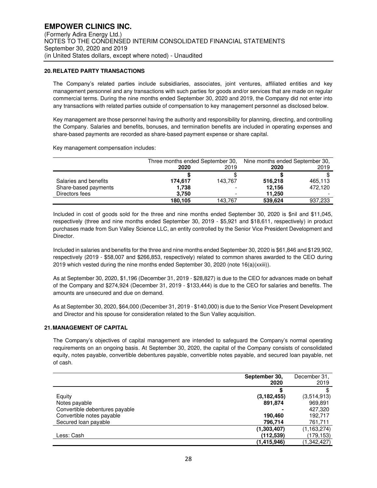## **20. RELATED PARTY TRANSACTIONS**

The Company's related parties include subsidiaries, associates, joint ventures, affiliated entities and key management personnel and any transactions with such parties for goods and/or services that are made on regular commercial terms. During the nine months ended September 30, 2020 and 2019, the Company did not enter into any transactions with related parties outside of compensation to key management personnel as disclosed below.

Key management are those personnel having the authority and responsibility for planning, directing, and controlling the Company. Salaries and benefits, bonuses, and termination benefits are included in operating expenses and share-based payments are recorded as share-based payment expense or share capital.

Key management compensation includes:

|                       |         | Three months ended September 30, |         | Nine months ended September 30, |
|-----------------------|---------|----------------------------------|---------|---------------------------------|
|                       | 2020    | 2019                             | 2020    | 2019                            |
|                       |         |                                  |         |                                 |
| Salaries and benefits | 174,617 | 143.767                          | 516,218 | 465,113                         |
| Share-based payments  | 1,738   |                                  | 12.156  | 472.120                         |
| Directors fees        | 3.750   |                                  | 11.250  |                                 |
|                       | 180.105 | 143.767                          | 539.624 | 937,233                         |

Included in cost of goods sold for the three and nine months ended September 30, 2020 is \$nil and \$11,045, respectively (three and nine months ended September 30, 2019 - \$5,921 and \$18,611, respectively) in product purchases made from Sun Valley Science LLC, an entity controlled by the Senior Vice President Development and Director.

Included in salaries and benefits for the three and nine months ended September 30, 2020 is \$61,846 and \$129,902, respectively (2019 - \$58,007 and \$266,853, respectively) related to common shares awarded to the CEO during 2019 which vested during the nine months ended September 30, 2020 (note 16(a)(xxiii)).

As at September 30, 2020, \$1,196 (December 31, 2019 - \$28,827) is due to the CEO for advances made on behalf of the Company and \$274,924 (December 31, 2019 - \$133,444) is due to the CEO for salaries and benefits. The amounts are unsecured and due on demand.

As at September 30, 2020, \$64,000 (December 31, 2019 - \$140,000) is due to the Senior Vice Present Development and Director and his spouse for consideration related to the Sun Valley acquisition.

#### **21. MANAGEMENT OF CAPITAL**

The Company's objectives of capital management are intended to safeguard the Company's normal operating requirements on an ongoing basis. At September 30, 2020, the capital of the Company consists of consolidated equity, notes payable, convertible debentures payable, convertible notes payable, and secured loan payable, net of cash.

|                                | September 30, | December 31.  |
|--------------------------------|---------------|---------------|
|                                | 2020          | 2019          |
|                                |               |               |
| Equity                         | (3, 182, 455) | (3,514,913)   |
| Notes payable                  | 891,874       | 969,891       |
| Convertible debentures payable |               | 427,320       |
| Convertible notes payable      | 190.460       | 192.717       |
| Secured loan payable           | 796,714       | 761,711       |
|                                | (1,303,407)   | (1, 163, 274) |
| Less: Cash                     | (112, 539)    | (179,153)     |
|                                | (1.415,946)   | (1,342,427)   |